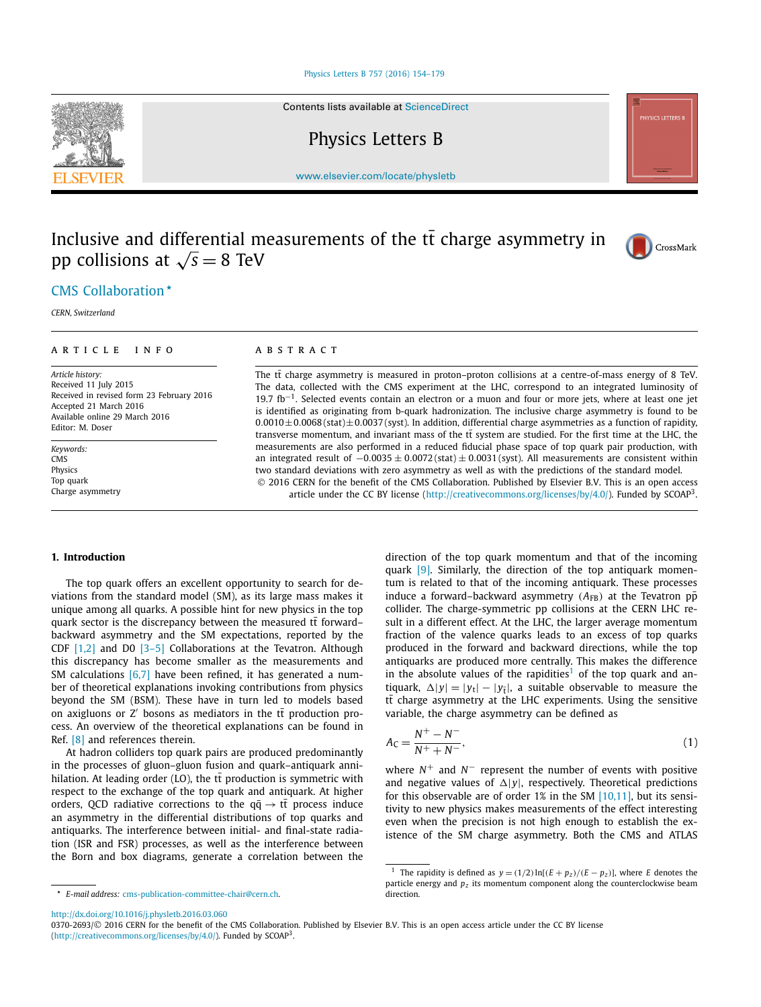#### [Physics Letters B 757 \(2016\) 154–179](http://dx.doi.org/10.1016/j.physletb.2016.03.060)

Contents lists available at [ScienceDirect](http://www.ScienceDirect.com/)

# Physics Letters B

[www.elsevier.com/locate/physletb](http://www.elsevier.com/locate/physletb)



# <span id="page-0-0"></span>Inclusive and differential measurements of the  $t\bar{t}$  charge asymmetry in pp collisions at  $\sqrt{s} = 8$  TeV



# .CMS [Collaboration](#page-10-0) *-*

*CERN, Switzerland*

#### A R T I C L E I N F O A B S T R A C T

*Article history:* Received 11 July 2015 Received in revised form 23 February 2016 Accepted 21 March 2016 Available online 29 March 2016 Editor: M. Doser

*Keywords:* CMS Physics Top quark Charge asymmetry

The tt charge asymmetry is measured in proton–proton collisions at a centre-of-mass energy of 8 TeV. The data, collected with the CMS experiment at the LHC, correspond to an integrated luminosity of 19.7 fb<sup>-1</sup>. Selected events contain an electron or a muon and four or more jets, where at least one jet is identified as originating from b-quark hadronization. The inclusive charge asymmetry is found to be 0*.*0010±0*.*0068 (stat)±0*.*0037 (syst). In addition, differential charge asymmetries as a function of rapidity, transverse momentum, and invariant mass of the  $t\bar{t}$  system are studied. For the first time at the LHC, the measurements are also performed in a reduced fiducial phase space of top quark pair production, with an integrated result of −0*.*0035 ± 0*.*0072 (stat) ± 0*.*0031 (syst). All measurements are consistent within two standard deviations with zero asymmetry as well as with the predictions of the standard model. © 2016 CERN for the benefit of the CMS Collaboration. Published by Elsevier B.V. This is an open access article under the CC BY license [\(http://creativecommons.org/licenses/by/4.0/\)](http://creativecommons.org/licenses/by/4.0/). Funded by SCOAP3.

#### **1. Introduction**

The top quark offers an excellent opportunity to search for deviations from the standard model (SM), as its large mass makes it unique among all quarks. A possible hint for new physics in the top quark sector is the discrepancy between the measured  $t\bar{t}$  forward– backward asymmetry and the SM expectations, reported by the CDF [\[1,2\]](#page-8-0) and D0 [\[3–5\]](#page-8-0) Collaborations at the Tevatron. Although this discrepancy has become smaller as the measurements and SM calculations [\[6,7\]](#page-8-0) have been refined, it has generated a number of theoretical explanations invoking contributions from physics beyond the SM (BSM). These have in turn led to models based on axigluons or  $Z'$  bosons as mediators in the  $t\bar{t}$  production process. An overview of the theoretical explanations can be found in Ref. [\[8\]](#page-8-0) and references therein.

At hadron colliders top quark pairs are produced predominantly in the processes of gluon–gluon fusion and quark–antiquark annihilation. At leading order (LO), the  $t\bar{t}$  production is symmetric with respect to the exchange of the top quark and antiquark. At higher orders, QCD radiative corrections to the  $q\bar{q} \rightarrow t\bar{t}$  process induce an asymmetry in the differential distributions of top quarks and antiquarks. The interference between initial- and final-state radiation (ISR and FSR) processes, as well as the interference between the Born and box diagrams, generate a correlation between the

direction of the top quark momentum and that of the incoming quark [\[9\].](#page-8-0) Similarly, the direction of the top antiquark momentum is related to that of the incoming antiquark. These processes induce a forward–backward asymmetry ( $A_{FB}$ ) at the Tevatron pp collider. The charge-symmetric pp collisions at the CERN LHC result in a different effect. At the LHC, the larger average momentum fraction of the valence quarks leads to an excess of top quarks produced in the forward and backward directions, while the top antiquarks are produced more centrally. This makes the difference in the absolute values of the rapidities<sup>1</sup> of the top quark and antiquark,  $\Delta |y| = |y_t| - |y_{\bar{t}}|$ , a suitable observable to measure the tt charge asymmetry at the LHC experiments. Using the sensitive variable, the charge asymmetry can be defined as

$$
A_{\rm C} = \frac{N^+ - N^-}{N^+ + N^-},\tag{1}
$$

where *N*+ and *N*− represent the number of events with positive and negative values of  $\Delta |y|$ , respectively. Theoretical predictions for this observable are of order 1% in the SM [\[10,11\],](#page-9-0) but its sensitivity to new physics makes measurements of the effect interesting even when the precision is not high enough to establish the existence of the SM charge asymmetry. Both the CMS and ATLAS

*<sup>-</sup> E-mail address:* [cms-publication-committee-chair@cern.ch](mailto:cms-publication-committee-chair@cern.ch).

<sup>&</sup>lt;sup>1</sup> The rapidity is defined as  $y = (1/2) \ln[(E + p_z)/(E - p_z)]$ , where *E* denotes the particle energy and *pz* its momentum component along the counterclockwise beam direction.

<http://dx.doi.org/10.1016/j.physletb.2016.03.060>

<sup>0370-2693/© 2016</sup> CERN for the benefit of the CMS Collaboration. Published by Elsevier B.V. This is an open access article under the CC BY license [\(http://creativecommons.org/licenses/by/4.0/\)](http://creativecommons.org/licenses/by/4.0/). Funded by SCOAP<sup>3</sup>.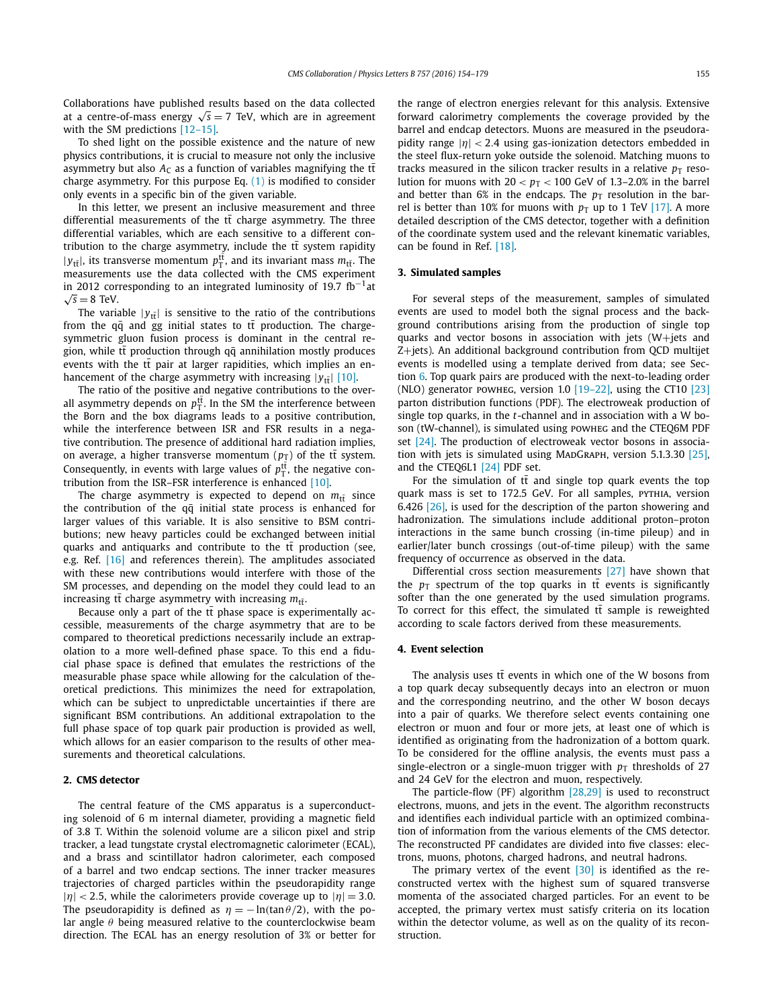<span id="page-1-0"></span>Collaborations have published results based on the data collected at a centre-of-mass energy  $\sqrt{s} = 7$  TeV, which are in agreement with the SM predictions [12-15].

To shed light on the possible existence and the nature of new physics contributions, it is crucial to measure not only the inclusive asymmetry but also  $A<sub>C</sub>$  as a function of variables magnifying the tta charge asymmetry. For this purpose Eq. [\(1\)](#page-0-0) is modified to consider only events in a specific bin of the given variable.

In this letter, we present an inclusive measurement and three differential measurements of the  $t\bar{t}$  charge asymmetry. The three differential variables, which are each sensitive to a different contribution to the charge asymmetry, include the  $t\bar{t}$  system rapidity  $|y_{t\bar{t}}|$ , its transverse momentum  $p_T^{tt}$ , and its invariant mass  $m_{t\bar{t}}$ . The measurements use the data collected with the CMS experiment in 2012 corresponding to an integrated luminosity of 19.7 fb<sup>-1</sup>at  $\sqrt{s} = 8$  TeV.

The variable  $|y_{\text{tf}}|$  is sensitive to the ratio of the contributions from the  $q\bar{q}$  and  $gg$  initial states to  $t\bar{t}$  production. The chargesymmetric gluon fusion process is dominant in the central region, while tt production through qq annihilation mostly produces events with the  $t\bar{t}$  pair at larger rapidities, which implies an enhancement of the charge asymmetry with increasing  $|y_{\text{tf}}|$  [\[10\].](#page-9-0)

The ratio of the positive and negative contributions to the overall asymmetry depends on  $p_T^{\text{tt}}$ . In the SM the interference between the Born and the box diagrams leads to a positive contribution, while the interference between ISR and FSR results in a negative contribution. The presence of additional hard radiation implies, on average, a higher transverse momentum  $(p_T)$  of the tt system. Consequently, in events with large values of  $p_T^{\text{tt}}$ , the negative contribution from the ISR–FSR interference is enhanced [\[10\].](#page-9-0)

The charge asymmetry is expected to depend on  $m_{t\bar{t}}$  since the contribution of the  $q\bar{q}$  initial state process is enhanced for larger values of this variable. It is also sensitive to BSM contributions; new heavy particles could be exchanged between initial quarks and antiquarks and contribute to the  $t\bar{t}$  production (see, e.g. Ref. [\[16\]](#page-9-0) and references therein). The amplitudes associated with these new contributions would interfere with those of the SM processes, and depending on the model they could lead to an increasing  $t\bar{t}$  charge asymmetry with increasing  $m_{t\bar{t}}$ .

Because only a part of the  $t\bar{t}$  phase space is experimentally accessible, measurements of the charge asymmetry that are to be compared to theoretical predictions necessarily include an extrapolation to a more well-defined phase space. To this end a fiducial phase space is defined that emulates the restrictions of the measurable phase space while allowing for the calculation of theoretical predictions. This minimizes the need for extrapolation, which can be subject to unpredictable uncertainties if there are significant BSM contributions. An additional extrapolation to the full phase space of top quark pair production is provided as well, which allows for an easier comparison to the results of other measurements and theoretical calculations.

#### **2. CMS detector**

The central feature of the CMS apparatus is a superconducting solenoid of 6 m internal diameter, providing a magnetic field of 3.8 T. Within the solenoid volume are a silicon pixel and strip tracker, a lead tungstate crystal electromagnetic calorimeter (ECAL), and a brass and scintillator hadron calorimeter, each composed of a barrel and two endcap sections. The inner tracker measures trajectories of charged particles within the pseudorapidity range  $|\eta|$  < 2.5, while the calorimeters provide coverage up to  $|\eta|$  = 3.0. The pseudorapidity is defined as  $\eta = -\ln(\tan \theta/2)$ , with the polar angle *θ* being measured relative to the counterclockwise beam direction. The ECAL has an energy resolution of 3% or better for the range of electron energies relevant for this analysis. Extensive forward calorimetry complements the coverage provided by the barrel and endcap detectors. Muons are measured in the pseudorapidity range |*η*| *<* <sup>2</sup>*.*4 using gas-ionization detectors embedded in the steel flux-return yoke outside the solenoid. Matching muons to tracks measured in the silicon tracker results in a relative  $p<sub>T</sub>$  resolution for muons with  $20 < p_T < 100$  GeV of 1.3–2.0% in the barrel and better than 6% in the endcaps. The  $p_T$  resolution in the barrel is better than 10% for muons with  $p_T$  up to 1 TeV [\[17\].](#page-9-0) A more detailed description of the CMS detector, together with a definition of the coordinate system used and the relevant kinematic variables, can be found in Ref. [\[18\].](#page-9-0)

#### **3. Simulated samples**

For several steps of the measurement, samples of simulated events are used to model both the signal process and the background contributions arising from the production of single top quarks and vector bosons in association with jets (W+jets and Z+jets). An additional background contribution from QCD multijet events is modelled using a template derived from data; see Section [6.](#page-2-0) Top quark pairs are produced with the next-to-leading order (NLO) generator powheg, version 1.0  $[19-22]$ , using the CT10  $[23]$ parton distribution functions (PDF). The electroweak production of single top quarks, in the *t*-channel and in association with a W boson (tW-channel), is simulated using powheg and the CTEQ6M PDF set [\[24\].](#page-9-0) The production of electroweak vector bosons in associa-tion with jets is simulated using MADGRAPH, version 5.1.3.30 [\[25\],](#page-9-0) and the CTEQ6L1 [\[24\]](#page-9-0) PDF set.

For the simulation of  $t\bar{t}$  and single top quark events the top quark mass is set to 172.5 GeV. For all samples, pythia, version 6.426 [\[26\],](#page-9-0) is used for the description of the parton showering and hadronization. The simulations include additional proton–proton interactions in the same bunch crossing (in-time pileup) and in earlier/later bunch crossings (out-of-time pileup) with the same frequency of occurrence as observed in the data.

Differential cross section measurements [\[27\]](#page-9-0) have shown that the  $p_T$  spectrum of the top quarks in  $t\bar{t}$  events is significantly softer than the one generated by the used simulation programs. To correct for this effect, the simulated  $t\bar{t}$  sample is reweighted according to scale factors derived from these measurements.

#### **4. Event selection**

The analysis uses  $t\bar{t}$  events in which one of the W bosons from a top quark decay subsequently decays into an electron or muon and the corresponding neutrino, and the other W boson decays into a pair of quarks. We therefore select events containing one electron or muon and four or more jets, at least one of which is identified as originating from the hadronization of a bottom quark. To be considered for the offline analysis, the events must pass a single-electron or a single-muon trigger with  $p<sub>T</sub>$  thresholds of 27 and 24 GeV for the electron and muon, respectively.

The particle-flow (PF) algorithm [\[28,29\]](#page-9-0) is used to reconstruct electrons, muons, and jets in the event. The algorithm reconstructs and identifies each individual particle with an optimized combination of information from the various elements of the CMS detector. The reconstructed PF candidates are divided into five classes: electrons, muons, photons, charged hadrons, and neutral hadrons.

The primary vertex of the event  $[30]$  is identified as the reconstructed vertex with the highest sum of squared transverse momenta of the associated charged particles. For an event to be accepted, the primary vertex must satisfy criteria on its location within the detector volume, as well as on the quality of its reconstruction.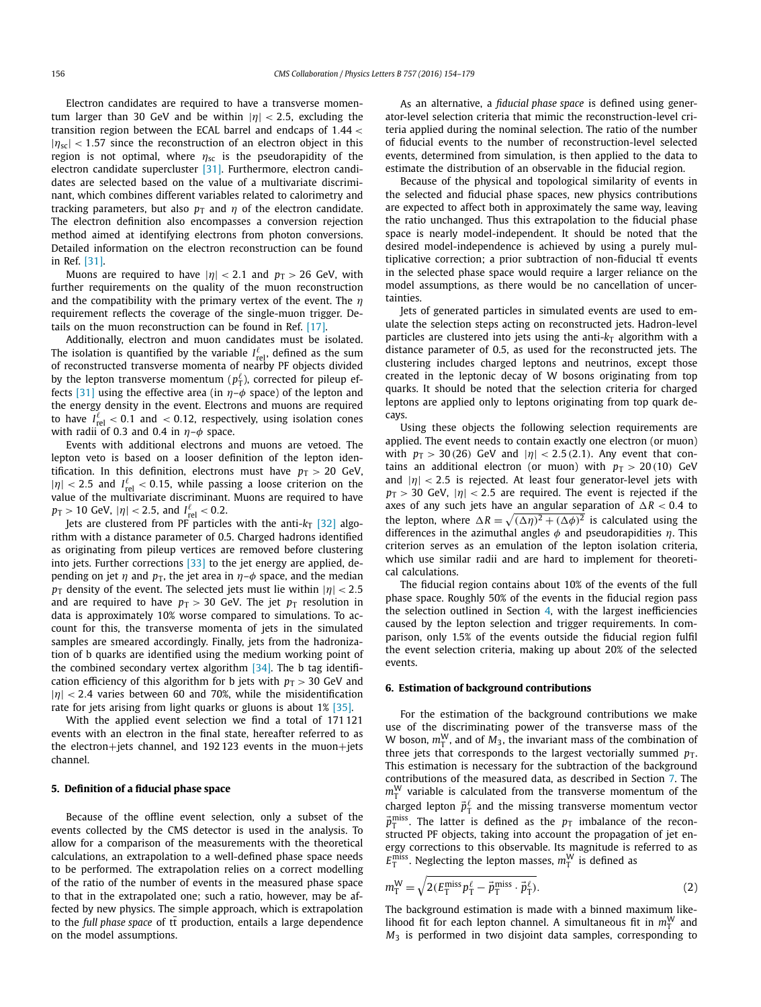<span id="page-2-0"></span>Electron candidates are required to have a transverse momentum larger than 30 GeV and be within  $|\eta|$  < 2.5, excluding the transition region between the ECAL barrel and endcaps of 1*.*44 *<*  $|\eta_{\text{sc}}|$  < 1.57 since the reconstruction of an electron object in this region is not optimal, where *η*sc is the pseudorapidity of the electron candidate supercluster [\[31\].](#page-9-0) Furthermore, electron candidates are selected based on the value of a multivariate discriminant, which combines different variables related to calorimetry and tracking parameters, but also  $p<sub>T</sub>$  and  $\eta$  of the electron candidate. The electron definition also encompasses a conversion rejection method aimed at identifying electrons from photon conversions. Detailed information on the electron reconstruction can be found in Ref. [\[31\].](#page-9-0)

Muons are required to have  $|\eta| < 2.1$  and  $p_T > 26$  GeV, with further requirements on the quality of the muon reconstruction and the compatibility with the primary vertex of the event. The *η* requirement reflects the coverage of the single-muon trigger. Details on the muon reconstruction can be found in Ref. [\[17\].](#page-9-0)

Additionally, electron and muon candidates must be isolated. The isolation is quantified by the variable  $I_{\text{rel}}^{\ell}$ , defined as the sum of reconstructed transverse momenta of nearby PF objects divided by the lepton transverse momentum ( $p_{\rm T}^{\ell}$ ), corrected for pileup ef-fects [\[31\]](#page-9-0) using the effective area (in  $\eta$ – $\phi$  space) of the lepton and the energy density in the event. Electrons and muons are required to have  $I_{rel}^{\ell} < 0.1$  and  $< 0.12$ , respectively, using isolation cones with radii of 0.3 and 0.4 in  $\eta$ – $\phi$  space.

Events with additional electrons and muons are vetoed. The lepton veto is based on a looser definition of the lepton identification. In this definition, electrons must have  $p_T > 20$  GeV,  $|\eta|$  < 2.5 and  $I_{rel}^{\ell}$  < 0.15, while passing a loose criterion on the value of the multivariate discriminant. Muons are required to have  $p_{\text{T}} > 10$  GeV,  $|\eta| < 2.5$ , and  $I_{\text{rel}}^{\ell} < 0.2$ .

Jets are clustered from PF particles with the anti- $k<sub>T</sub>$  [\[32\]](#page-9-0) algorithm with a distance parameter of 0.5. Charged hadrons identified as originating from pileup vertices are removed before clustering into jets. Further corrections  $[33]$  to the jet energy are applied, depending on jet  $\eta$  and  $p_T$ , the jet area in  $\eta$ – $\phi$  space, and the median *p*<sub>T</sub> density of the event. The selected jets must lie within  $|\eta|$  < 2.5 and are required to have  $p_T > 30$  GeV. The jet  $p_T$  resolution in data is approximately 10% worse compared to simulations. To account for this, the transverse momenta of jets in the simulated samples are smeared accordingly. Finally, jets from the hadronization of b quarks are identified using the medium working point of the combined secondary vertex algorithm [\[34\].](#page-9-0) The b tag identification efficiency of this algorithm for b jets with  $p_T > 30$  GeV and |*η*| *<* <sup>2</sup>*.*4 varies between <sup>60</sup> and 70%, while the misidentification rate for jets arising from light quarks or gluons is about 1% [\[35\].](#page-9-0)

With the applied event selection we find a total of 171 121 events with an electron in the final state, hereafter referred to as the electron+jets channel, and 192 123 events in the muon+jets channel.

#### **5. Definition of a fiducial phase space**

Because of the offline event selection, only a subset of the events collected by the CMS detector is used in the analysis. To allow for a comparison of the measurements with the theoretical calculations, an extrapolation to a well-defined phase space needs to be performed. The extrapolation relies on a correct modelling of the ratio of the number of events in the measured phase space to that in the extrapolated one; such a ratio, however, may be affected by new physics. The simple approach, which is extrapolation to the *full phase space* of tt production, entails a large dependence on the model assumptions.

As an alternative, a *fiducial phase space* is defined using generator-level selection criteria that mimic the reconstruction-level criteria applied during the nominal selection. The ratio of the number of fiducial events to the number of reconstruction-level selected events, determined from simulation, is then applied to the data to estimate the distribution of an observable in the fiducial region.

Because of the physical and topological similarity of events in the selected and fiducial phase spaces, new physics contributions are expected to affect both in approximately the same way, leaving the ratio unchanged. Thus this extrapolation to the fiducial phase space is nearly model-independent. It should be noted that the desired model-independence is achieved by using a purely multiplicative correction; a prior subtraction of non-fiducial  $t\bar{t}$  events in the selected phase space would require a larger reliance on the model assumptions, as there would be no cancellation of uncertainties.

Jets of generated particles in simulated events are used to emulate the selection steps acting on reconstructed jets. Hadron-level particles are clustered into jets using the anti- $k<sub>T</sub>$  algorithm with a distance parameter of 0.5, as used for the reconstructed jets. The clustering includes charged leptons and neutrinos, except those created in the leptonic decay of W bosons originating from top quarks. It should be noted that the selection criteria for charged leptons are applied only to leptons originating from top quark decays.

Using these objects the following selection requirements are applied. The event needs to contain exactly one electron (or muon) with  $p_T > 30 (26)$  GeV and  $|\eta| < 2.5 (2.1)$ . Any event that contains an additional electron (or muon) with  $p_T > 20(10)$  GeV and |*η*| *<* <sup>2</sup>*.*5 is rejected. At least four generator-level jets with  $p_T > 30$  GeV,  $|\eta| < 2.5$  are required. The event is rejected if the axes of any such jets have an angular separation of  $\Delta R < 0.4$  to the lepton, where  $\Delta R = \sqrt{(\Delta \eta)^2 + (\Delta \phi)^2}$  is calculated using the differences in the azimuthal angles *φ* and pseudorapidities *η*. This criterion serves as an emulation of the lepton isolation criteria, which use similar radii and are hard to implement for theoretical calculations.

The fiducial region contains about 10% of the events of the full phase space. Roughly 50% of the events in the fiducial region pass the selection outlined in Section [4,](#page-1-0) with the largest inefficiencies caused by the lepton selection and trigger requirements. In comparison, only 1.5% of the events outside the fiducial region fulfil the event selection criteria, making up about 20% of the selected events.

#### **6. Estimation of background contributions**

For the estimation of the background contributions we make use of the discriminating power of the transverse mass of the W boson,  $m_{\overline{1}}^W$ , and of  $M_3$ , the invariant mass of the combination of three jets that corresponds to the largest vectorially summed  $p_T$ . This estimation is necessary for the subtraction of the background contributions of the measured data, as described in Section [7.](#page-3-0) The  $m_{\overline{\rm T}}^{\rm W}$  variable is calculated from the transverse momentum of the charged lepton  $\vec{p}_{\text{T}}^{\ell}$  and the missing transverse momentum vector  $\vec{p}_{\rm T}^{\rm miss}$ . The latter is defined as the  $p_{\rm T}$  imbalance of the reconstructed PF objects, taking into account the propagation of jet energy corrections to this observable. Its magnitude is referred to as  $E_{\rm T}^{\rm miss}$ . Neglecting the lepton masses,  $m_{\rm T}^{\rm W}$  is defined as

$$
m_{\rm T}^{\rm W} = \sqrt{2(E_{\rm T}^{\rm miss} p_{\rm T}^{\ell} - \vec{p}_{\rm T}^{\rm miss} \cdot \vec{p}_{\rm T}^{\ell})}.
$$
 (2)

The background estimation is made with a binned maximum likelihood fit for each lepton channel. A simultaneous fit in  $m_{\text{T}}^{\text{W}}$  and *M*<sup>3</sup> is performed in two disjoint data samples, corresponding to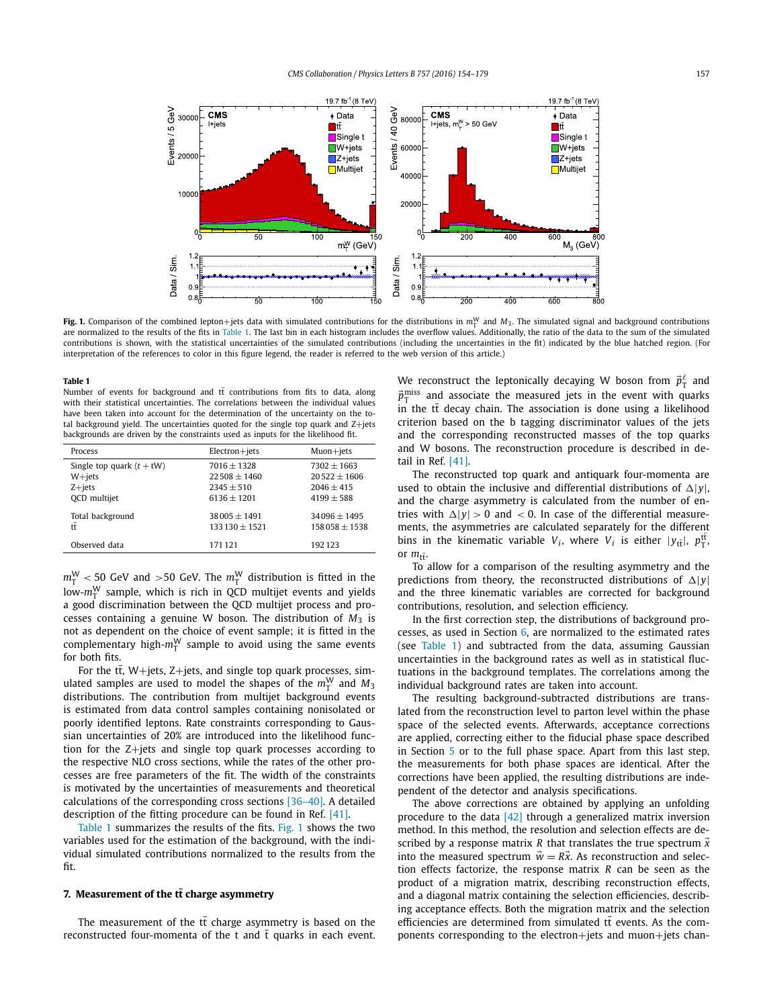<span id="page-3-0"></span>

**Fig. 1.** Comparison of the combined lepton+jets data with simulated contributions for the distributions in  $m_1^W$  and  $M_3$ . The simulated signal and background contributions are normalized to the results of the fits in Table 1. The last bin in each histogram includes the overflow values. Additionally, the ratio of the data to the sum of the simulated contributions is shown, with the statistical uncertainties of the simulated contributions (including the uncertainties in the fit) indicated by the blue hatched region. (For interpretation of the references to color in this figure legend, the reader is referred to the web version of this article.)

#### **Table 1**

Number of events for background and  $t\bar{t}$  contributions from fits to data, along with their statistical uncertainties. The correlations between the individual values have been taken into account for the determination of the uncertainty on the total background yield. The uncertainties quoted for the single top quark and Z+jets backgrounds are driven by the constraints used as inputs for the likelihood fit.

| Process                     | $Electron + jets$ | $Muon+jets$     |
|-----------------------------|-------------------|-----------------|
| Single top quark $(t + tW)$ | $7016 + 1328$     | $7302 + 1663$   |
| $W + jets$                  | $22508 + 1460$    | $20522 + 1606$  |
| $Z + jets$                  | $2345 + 510$      | $2046 + 415$    |
| <b>QCD</b> multijet         | $6136 + 1201$     | $4199 + 588$    |
| Total background            | $38005 + 1491$    | $34096 + 1495$  |
| tĒ                          | $133130 + 1521$   | $158058 + 1538$ |
| Observed data               | 171 121           | 192123          |

 $m_{\overline{1}}^{\text{W}}$  < 50 GeV and >50 GeV. The  $m_{\overline{1}}^{\text{W}}$  distribution is fitted in the low- $m_{\overline{\text{T}}}^{\text{W}}$  sample, which is rich in QCD multijet events and yields a good discrimination between the QCD multijet process and processes containing a genuine W boson. The distribution of *M*<sup>3</sup> is not as dependent on the choice of event sample; it is fitted in the complementary high- $m_{\overline{1}}^{\text{W}}$  sample to avoid using the same events for both fits.

For the  $t\bar{t}$ , W+jets, Z+jets, and single top quark processes, simulated samples are used to model the shapes of the  $m_{\overline{1}}^{\text{W}}$  and  $M_3$ distributions. The contribution from multijet background events is estimated from data control samples containing nonisolated or poorly identified leptons. Rate constraints corresponding to Gaussian uncertainties of 20% are introduced into the likelihood function for the Z+jets and single top quark processes according to the respective NLO cross sections, while the rates of the other processes are free parameters of the fit. The width of the constraints is motivated by the uncertainties of measurements and theoretical calculations of the corresponding cross sections [\[36–40\].](#page-9-0) A detailed description of the fitting procedure can be found in Ref. [\[41\].](#page-9-0)

Table 1 summarizes the results of the fits. Fig. 1 shows the two variables used for the estimation of the background, with the individual simulated contributions normalized to the results from the fit.

#### **7. Measurement of the tt charge ¯ asymmetry**

The measurement of the  $t\bar{t}$  charge asymmetry is based on the reconstructed four-momenta of the t and  $\bar{t}$  quarks in each event.

We reconstruct the leptonically decaying W boson from  $\vec{p}_{\text{T}}^{\ell}$  and  $\vec{p}_{\rm T}^{\rm miss}$  and associate the measured jets in the event with quarks  $\overline{m}$  the tt decay chain. The association is done using a likelihood criterion based on the b tagging discriminator values of the jets and the corresponding reconstructed masses of the top quarks and W bosons. The reconstruction procedure is described in detail in Ref. [\[41\].](#page-9-0)

The reconstructed top quark and antiquark four-momenta are used to obtain the inclusive and differential distributions of  $\Delta |y|$ , and the charge asymmetry is calculated from the number of entries with  $\Delta |y| > 0$  and  $< 0$ . In case of the differential measurements, the asymmetries are calculated separately for the different bins in the kinematic variable  $V_i$ , where  $V_i$  is either  $|y_{t\bar{t}}|$ ,  $p_T^{\text{tt}}$ , or  $m_{\text{t}\bar{\text{t}}}$ .

To allow for a comparison of the resulting asymmetry and the predictions from theory, the reconstructed distributions of  $\Delta |y|$ and the three kinematic variables are corrected for background contributions, resolution, and selection efficiency.

In the first correction step, the distributions of background processes, as used in Section  $6$ , are normalized to the estimated rates (see Table 1) and subtracted from the data, assuming Gaussian uncertainties in the background rates as well as in statistical fluctuations in the background templates. The correlations among the individual background rates are taken into account.

The resulting background-subtracted distributions are translated from the reconstruction level to parton level within the phase space of the selected events. Afterwards, acceptance corrections are applied, correcting either to the fiducial phase space described in Section [5](#page-2-0) or to the full phase space. Apart from this last step, the measurements for both phase spaces are identical. After the corrections have been applied, the resulting distributions are independent of the detector and analysis specifications.

The above corrections are obtained by applying an unfolding procedure to the data [\[42\]](#page-9-0) through a generalized matrix inversion method. In this method, the resolution and selection effects are described by a response matrix *R* that translates the true spectrum  $\vec{x}$ into the measured spectrum  $\vec{w} = R\vec{x}$ . As reconstruction and selection effects factorize, the response matrix *R* can be seen as the product of a migration matrix, describing reconstruction effects, and a diagonal matrix containing the selection efficiencies, describing acceptance effects. Both the migration matrix and the selection efficiencies are determined from simulated  $t\bar{t}$  events. As the components corresponding to the electron+jets and muon+jets chan-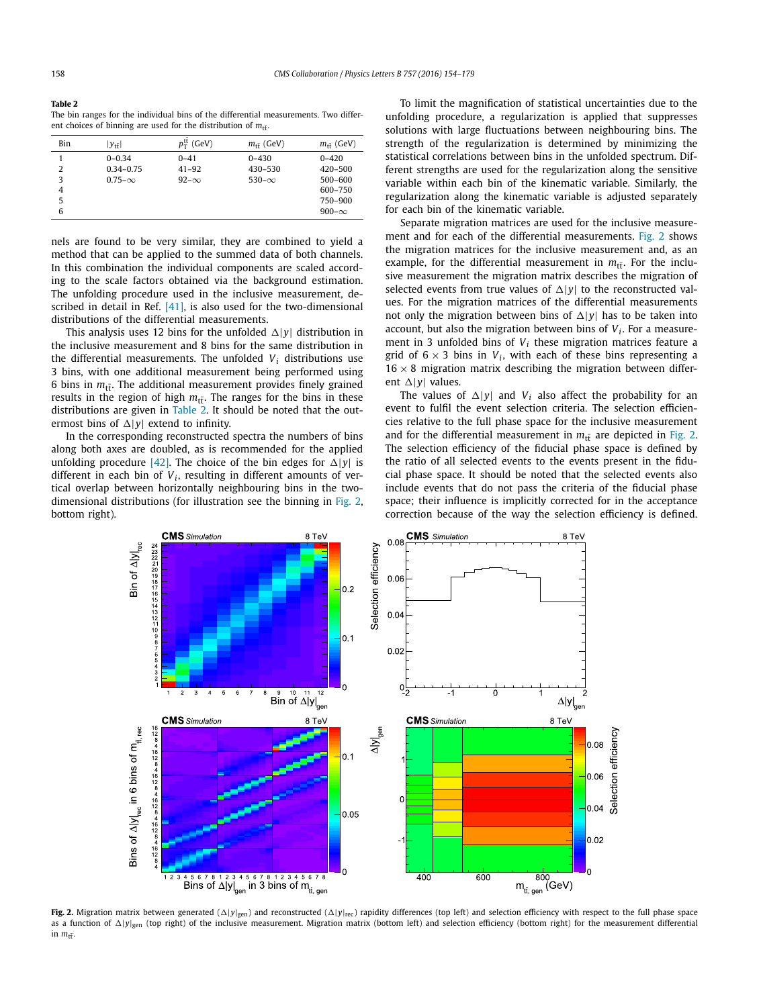#### **Table 2**

The bin ranges for the individual bins of the differential measurements. Two different choices of binning are used for the distribution of  $m_{\rm t\bar t}$ .

| Bin | $ y_{t\bar{t}} $ | $p_{\rm T}^{\rm t\bar t}$ (GeV) | $m_{\text{rf}}$ (GeV) | $m_{\text{rf}}$ (GeV) |
|-----|------------------|---------------------------------|-----------------------|-----------------------|
|     | $0 - 0.34$       | $0 - 41$                        | $0 - 430$             | $0 - 420$             |
| 2   | $0.34 - 0.75$    | $41 - 92$                       | 430-530               | $420 - 500$           |
| 3   | $0.75-\infty$    | $92-\infty$                     | 530 $-\infty$         | $500 - 600$           |
| 4   |                  |                                 |                       | 600-750               |
| 5   |                  |                                 |                       | 750-900               |
| 6   |                  |                                 |                       | 900 $-\infty$         |

nels are found to be very similar, they are combined to yield a method that can be applied to the summed data of both channels. In this combination the individual components are scaled according to the scale factors obtained via the background estimation. The unfolding procedure used in the inclusive measurement, described in detail in Ref. [\[41\],](#page-9-0) is also used for the two-dimensional distributions of the differential measurements.

This analysis uses 12 bins for the unfolded  $\Delta |y|$  distribution in the inclusive measurement and 8 bins for the same distribution in the differential measurements. The unfolded  $V_i$  distributions use 3 bins, with one additional measurement being performed using 6 bins in  $m_{t\bar{t}}$ . The additional measurement provides finely grained results in the region of high  $m_{t\bar{t}}$ . The ranges for the bins in these distributions are given in Table 2. It should be noted that the outermost bins of  $\Delta |y|$  extend to infinity.

In the corresponding reconstructed spectra the numbers of bins along both axes are doubled, as is recommended for the applied unfolding procedure [\[42\].](#page-9-0) The choice of the bin edges for  $\Delta |y|$  is different in each bin of  $V_i$ , resulting in different amounts of vertical overlap between horizontally neighbouring bins in the twodimensional distributions (for illustration see the binning in Fig. 2, bottom right).

To limit the magnification of statistical uncertainties due to the unfolding procedure, a regularization is applied that suppresses solutions with large fluctuations between neighbouring bins. The strength of the regularization is determined by minimizing the statistical correlations between bins in the unfolded spectrum. Different strengths are used for the regularization along the sensitive variable within each bin of the kinematic variable. Similarly, the regularization along the kinematic variable is adjusted separately for each bin of the kinematic variable.

Separate migration matrices are used for the inclusive measurement and for each of the differential measurements. Fig. 2 shows the migration matrices for the inclusive measurement and, as an example, for the differential measurement in  $m_{t\bar{t}}$ . For the inclusive measurement the migration matrix describes the migration of selected events from true values of  $\Delta |y|$  to the reconstructed values. For the migration matrices of the differential measurements not only the migration between bins of  $\Delta |y|$  has to be taken into account, but also the migration between bins of  $V_i$ . For a measurement in 3 unfolded bins of *Vi* these migration matrices feature a grid of  $6 \times 3$  bins in  $V_i$ , with each of these bins representing a  $16 \times 8$  migration matrix describing the migration between different  $\Delta |y|$  values.

The values of  $\Delta |y|$  and  $V_i$  also affect the probability for an event to fulfil the event selection criteria. The selection efficiencies relative to the full phase space for the inclusive measurement and for the differential measurement in  $m_{t\bar{t}}$  are depicted in Fig. 2. The selection efficiency of the fiducial phase space is defined by the ratio of all selected events to the events present in the fiducial phase space. It should be noted that the selected events also include events that do not pass the criteria of the fiducial phase space; their influence is implicitly corrected for in the acceptance correction because of the way the selection efficiency is defined.



Fig. 2. Migration matrix between generated  $(\Delta |y|_{\text{gen}})$  and reconstructed  $(\Delta |y|_{\text{rec}})$  rapidity differences (top left) and selection efficiency with respect to the full phase space as a function of  $\Delta |y|_{\text{gen}}$  (top right) of the inclusive measurement. Migration matrix (bottom left) and selection efficiency (bottom right) for the measurement differential in  $m_{\rm t\bar t}$ .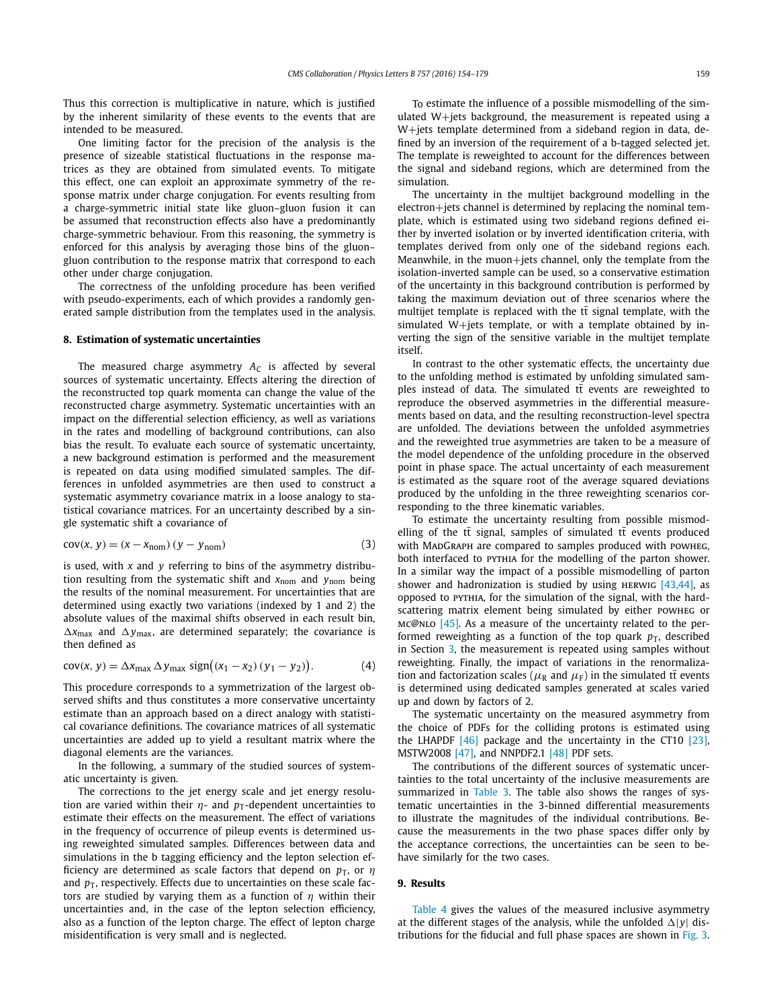Thus this correction is multiplicative in nature, which is justified by the inherent similarity of these events to the events that are intended to be measured.

One limiting factor for the precision of the analysis is the presence of sizeable statistical fluctuations in the response matrices as they are obtained from simulated events. To mitigate this effect, one can exploit an approximate symmetry of the response matrix under charge conjugation. For events resulting from a charge-symmetric initial state like gluon–gluon fusion it can be assumed that reconstruction effects also have a predominantly charge-symmetric behaviour. From this reasoning, the symmetry is enforced for this analysis by averaging those bins of the gluon– gluon contribution to the response matrix that correspond to each other under charge conjugation.

The correctness of the unfolding procedure has been verified with pseudo-experiments, each of which provides a randomly generated sample distribution from the templates used in the analysis.

#### **8. Estimation of systematic uncertainties**

The measured charge asymmetry  $A_C$  is affected by several sources of systematic uncertainty. Effects altering the direction of the reconstructed top quark momenta can change the value of the reconstructed charge asymmetry. Systematic uncertainties with an impact on the differential selection efficiency, as well as variations in the rates and modelling of background contributions, can also bias the result. To evaluate each source of systematic uncertainty, a new background estimation is performed and the measurement is repeated on data using modified simulated samples. The differences in unfolded asymmetries are then used to construct a systematic asymmetry covariance matrix in a loose analogy to statistical covariance matrices. For an uncertainty described by a single systematic shift a covariance of

$$
cov(x, y) = (x - xnom) (y - ynom)
$$
\n(3)

is used, with *x* and *y* referring to bins of the asymmetry distribution resulting from the systematic shift and  $x_{\text{nom}}$  and  $y_{\text{nom}}$  being the results of the nominal measurement. For uncertainties that are determined using exactly two variations (indexed by 1 and 2) the absolute values of the maximal shifts observed in each result bin,  $\Delta x_{\text{max}}$  and  $\Delta y_{\text{max}}$ , are determined separately; the covariance is then defined as

$$
cov(x, y) = \Delta x_{\text{max}} \, \Delta y_{\text{max}} \, \text{sign}\big((x_1 - x_2)(y_1 - y_2)\big). \tag{4}
$$

This procedure corresponds to a symmetrization of the largest observed shifts and thus constitutes a more conservative uncertainty estimate than an approach based on a direct analogy with statistical covariance definitions. The covariance matrices of all systematic uncertainties are added up to yield a resultant matrix where the diagonal elements are the variances.

In the following, a summary of the studied sources of systematic uncertainty is given.

The corrections to the jet energy scale and jet energy resolution are varied within their  $\eta$ - and  $p_T$ -dependent uncertainties to estimate their effects on the measurement. The effect of variations in the frequency of occurrence of pileup events is determined using reweighted simulated samples. Differences between data and simulations in the b tagging efficiency and the lepton selection efficiency are determined as scale factors that depend on *p*<sub>T</sub>, or *η* and  $p<sub>T</sub>$ , respectively. Effects due to uncertainties on these scale factors are studied by varying them as a function of *η* within their uncertainties and, in the case of the lepton selection efficiency, also as a function of the lepton charge. The effect of lepton charge misidentification is very small and is neglected.

To estimate the influence of a possible mismodelling of the simulated W+jets background, the measurement is repeated using a W+jets template determined from a sideband region in data, defined by an inversion of the requirement of a b-tagged selected jet. The template is reweighted to account for the differences between the signal and sideband regions, which are determined from the simulation.

The uncertainty in the multijet background modelling in the electron+jets channel is determined by replacing the nominal template, which is estimated using two sideband regions defined either by inverted isolation or by inverted identification criteria, with templates derived from only one of the sideband regions each. Meanwhile, in the muon+jets channel, only the template from the isolation-inverted sample can be used, so a conservative estimation of the uncertainty in this background contribution is performed by taking the maximum deviation out of three scenarios where the multijet template is replaced with the tt signal template, with the simulated W+jets template, or with a template obtained by inverting the sign of the sensitive variable in the multijet template itself.

In contrast to the other systematic effects, the uncertainty due to the unfolding method is estimated by unfolding simulated samples instead of data. The simulated  $t\bar{t}$  events are reweighted to reproduce the observed asymmetries in the differential measurements based on data, and the resulting reconstruction-level spectra are unfolded. The deviations between the unfolded asymmetries and the reweighted true asymmetries are taken to be a measure of the model dependence of the unfolding procedure in the observed point in phase space. The actual uncertainty of each measurement is estimated as the square root of the average squared deviations produced by the unfolding in the three reweighting scenarios corresponding to the three kinematic variables.

To estimate the uncertainty resulting from possible mismodelling of the  $t\bar{t}$  signal, samples of simulated  $t\bar{t}$  events produced with MADGRAPH are compared to samples produced with POWHEG, both interfaced to PYTHIA for the modelling of the parton shower. In a similar way the impact of a possible mismodelling of parton shower and hadronization is studied by using HERWIG  $[43,44]$ , as opposed to pythia, for the simulation of the signal, with the hardscattering matrix element being simulated by either powheg or  $MC@NLO$  [\[45\].](#page-9-0) As a measure of the uncertainty related to the performed reweighting as a function of the top quark  $p<sub>T</sub>$ , described in Section [3,](#page-1-0) the measurement is repeated using samples without reweighting. Finally, the impact of variations in the renormalization and factorization scales ( $\mu$ <sub>R</sub> and  $\mu$ <sub>F</sub>) in the simulated tt events is determined using dedicated samples generated at scales varied up and down by factors of 2.

The systematic uncertainty on the measured asymmetry from the choice of PDFs for the colliding protons is estimated using the LHAPDF [\[46\]](#page-9-0) package and the uncertainty in the CT10 [\[23\],](#page-9-0) MSTW2008 [\[47\],](#page-9-0) and NNPDF2.1 [\[48\]](#page-9-0) PDF sets.

The contributions of the different sources of systematic uncertainties to the total uncertainty of the inclusive measurements are summarized in [Table 3.](#page-6-0) The table also shows the ranges of systematic uncertainties in the 3-binned differential measurements to illustrate the magnitudes of the individual contributions. Because the measurements in the two phase spaces differ only by the acceptance corrections, the uncertainties can be seen to behave similarly for the two cases.

#### **9. Results**

[Table 4](#page-6-0) gives the values of the measured inclusive asymmetry at the different stages of the analysis, while the unfolded  $\Delta |y|$  distributions for the fiducial and full phase spaces are shown in [Fig. 3.](#page-6-0)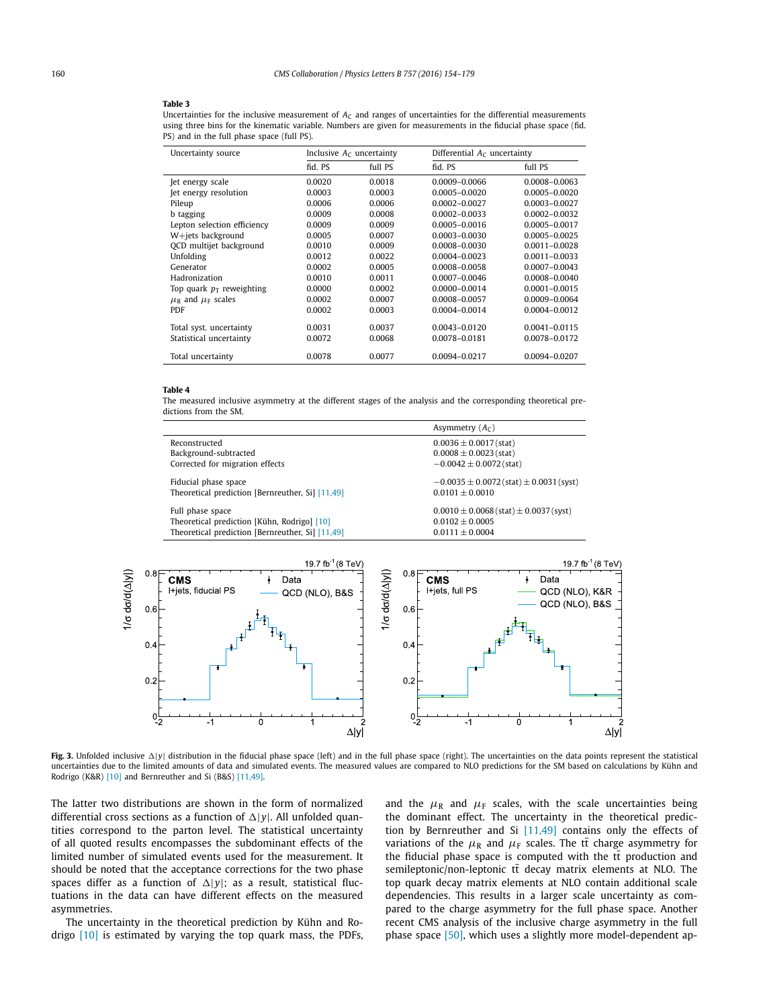#### <span id="page-6-0"></span>**Table 3**

Uncertainties for the inclusive measurement of  $A<sub>C</sub>$  and ranges of uncertainties for the differential measurements using three bins for the kinematic variable. Numbers are given for measurements in the fiducial phase space (fid. PS) and in the full phase space (full PS).

| Uncertainty source                     | Inclusive $AC$ uncertainty |         | Differential $AC$ uncertainty |                   |
|----------------------------------------|----------------------------|---------|-------------------------------|-------------------|
|                                        | fid. PS                    | full PS | fid. PS                       | full PS           |
| Jet energy scale                       | 0.0020                     | 0.0018  | 0.0009-0.0066                 | 0.0008-0.0063     |
| Jet energy resolution                  | 0.0003                     | 0.0003  | $0.0005 - 0.0020$             | 0.0005-0.0020     |
| Pileup                                 | 0.0006                     | 0.0006  | $0.0002 - 0.0027$             | 0.0003-0.0027     |
| b tagging                              | 0.0009                     | 0.0008  | $0.0002 - 0.0033$             | $0.0002 - 0.0032$ |
| Lepton selection efficiency            | 0.0009                     | 0.0009  | $0.0005 - 0.0016$             | 0.0005-0.0017     |
| $W + jets$ background                  | 0.0005                     | 0.0007  | $0.0003 - 0.0030$             | 0.0005-0.0025     |
| QCD multijet background                | 0.0010                     | 0.0009  | 0.0008-0.0030                 | $0.0011 - 0.0028$ |
| Unfolding                              | 0.0012                     | 0.0022  | 0.0004-0.0023                 | $0.0011 - 0.0033$ |
| Generator                              | 0.0002                     | 0.0005  | 0.0008-0.0058                 | $0.0007 - 0.0043$ |
| Hadronization                          | 0.0010                     | 0.0011  | 0.0007-0.0046                 | 0.0008-0.0040     |
| Top quark $p_T$ reweighting            | 0.0000                     | 0.0002  | 0.0000-0.0014                 | $0.0001 - 0.0015$ |
| $\mu_{\rm R}$ and $\mu_{\rm F}$ scales | 0.0002                     | 0.0007  | 0.0008-0.0057                 | 0.0009-0.0064     |
| <b>PDF</b>                             | 0.0002                     | 0.0003  | 0.0004-0.0014                 | 0.0004-0.0012     |
| Total syst, uncertainty                | 0.0031                     | 0.0037  | $0.0043 - 0.0120$             | $0.0041 - 0.0115$ |
| Statistical uncertainty                | 0.0072                     | 0.0068  | 0.0078-0.0181                 | 0.0078-0.0172     |
| Total uncertainty                      | 0.0078                     | 0.0077  | 0.0094-0.0217                 | 0.0094-0.0207     |

#### **Table 4**

The measured inclusive asymmetry at the different stages of the analysis and the corresponding theoretical predictions from the SM.

|                                                  | Asymmetry $(AC)$                                |  |
|--------------------------------------------------|-------------------------------------------------|--|
| Reconstructed                                    | $0.0036 \pm 0.0017$ (stat)                      |  |
| Background-subtracted                            | $0.0008 \pm 0.0023$ (stat)                      |  |
| Corrected for migration effects                  | $-0.0042 \pm 0.0072$ (stat)                     |  |
| Fiducial phase space                             | $-0.0035 \pm 0.0072$ (stat) $\pm 0.0031$ (syst) |  |
| Theoretical prediction [Bernreuther, Si] [11,49] | $0.0101 + 0.0010$                               |  |
| Full phase space                                 | $0.0010 \pm 0.0068$ (stat) $\pm 0.0037$ (syst)  |  |
| Theoretical prediction [Kühn, Rodrigo] [10]      | $0.0102 + 0.0005$                               |  |
| Theoretical prediction [Bernreuther, Si] [11,49] | $0.0111 + 0.0004$                               |  |



Fig. 3. Unfolded inclusive  $\Delta |y|$  distribution in the fiducial phase space (left) and in the full phase space (right). The uncertainties on the data points represent the statistical uncertainties due to the limited amounts of data and simulated events. The measured values are compared to NLO predictions for the SM based on calculations by Kühn and Rodrigo (K&R) [\[10\]](#page-9-0) and Bernreuther and Si (B&S) [\[11,49\].](#page-9-0)

The latter two distributions are shown in the form of normalized differential cross sections as a function of  $\Delta |y|$ . All unfolded quantities correspond to the parton level. The statistical uncertainty of all quoted results encompasses the subdominant effects of the limited number of simulated events used for the measurement. It should be noted that the acceptance corrections for the two phase spaces differ as a function of  $\Delta|y|$ ; as a result, statistical fluctuations in the data can have different effects on the measured asymmetries.

The uncertainty in the theoretical prediction by Kühn and Rodrigo [\[10\]](#page-9-0) is estimated by varying the top quark mass, the PDFs, and the  $\mu_R$  and  $\mu_F$  scales, with the scale uncertainties being the dominant effect. The uncertainty in the theoretical prediction by Bernreuther and Si  $[11,49]$  contains only the effects of variations of the  $\mu_R$  and  $\mu_F$  scales. The tt charge asymmetry for the fiducial phase space is computed with the  $t\bar{t}$  production and semileptonic/non-leptonic  $t\bar{t}$  decay matrix elements at NLO. The top quark decay matrix elements at NLO contain additional scale dependencies. This results in a larger scale uncertainty as compared to the charge asymmetry for the full phase space. Another recent CMS analysis of the inclusive charge asymmetry in the full phase space [\[50\],](#page-9-0) which uses a slightly more model-dependent ap-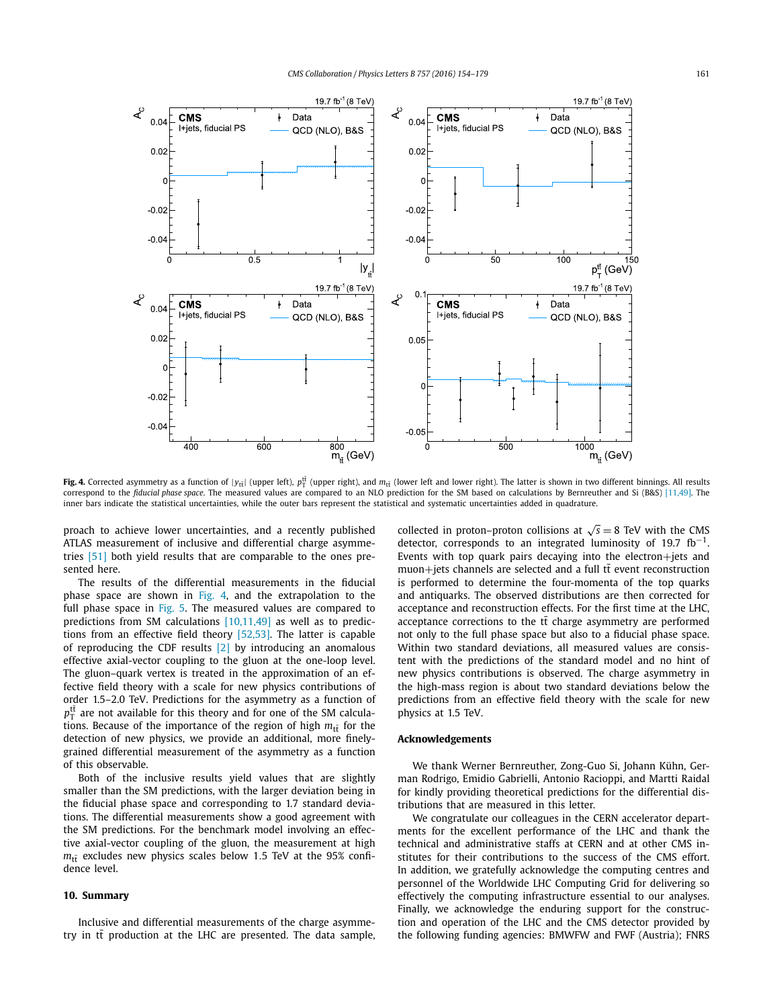

**Fig. 4.** Corrected asymmetry as a function of  $|y_{\rm tf}|$  (upper left),  $p_{\rm T}^{\rm tr}$  (upper right), and  $m_{\rm t \bar t}$  (lower left and lower right). The latter is shown in two different binnings. All results correspond to the *fiducial phase space*. The measured values are compared to an NLO prediction for the SM based on calculations by Bernreuther and Si (B&S) [\[11,49\].](#page-9-0) The inner bars indicate the statistical uncertainties, while the outer bars represent the statistical and systematic uncertainties added in quadrature.

proach to achieve lower uncertainties, and a recently published ATLAS measurement of inclusive and differential charge asymmetries [\[51\]](#page-9-0) both yield results that are comparable to the ones presented here.

The results of the differential measurements in the fiducial phase space are shown in Fig. 4, and the extrapolation to the full phase space in [Fig. 5.](#page-8-0) The measured values are compared to predictions from SM calculations [\[10,11,49\]](#page-9-0) as well as to predictions from an effective field theory [\[52,53\].](#page-9-0) The latter is capable of reproducing the CDF results [\[2\]](#page-8-0) by introducing an anomalous effective axial-vector coupling to the gluon at the one-loop level. The gluon–quark vertex is treated in the approximation of an effective field theory with a scale for new physics contributions of order 1.5–2.0 TeV. Predictions for the asymmetry as a function of  $p_{\rm T}^{\rm tt}$  are not available for this theory and for one of the SM calculations. Because of the importance of the region of high  $m_{t\bar{t}}$  for the detection of new physics, we provide an additional, more finelygrained differential measurement of the asymmetry as a function of this observable.

Both of the inclusive results yield values that are slightly smaller than the SM predictions, with the larger deviation being in the fiducial phase space and corresponding to 1.7 standard deviations. The differential measurements show a good agreement with the SM predictions. For the benchmark model involving an effective axial-vector coupling of the gluon, the measurement at high  $m_{t\bar{t}}$  excludes new physics scales below 1.5 TeV at the 95% confidence level.

#### **10. Summary**

Inclusive and differential measurements of the charge asymmetry in  $t\bar{t}$  production at the LHC are presented. The data sample, collected in proton–proton collisions at  $\sqrt{s} = 8$  TeV with the CMS detector, corresponds to an integrated luminosity of 19.7  $fb^{-1}$ . Events with top quark pairs decaying into the electron+jets and  $muon+jets$  channels are selected and a full  $t\bar{t}$  event reconstruction is performed to determine the four-momenta of the top quarks and antiquarks. The observed distributions are then corrected for acceptance and reconstruction effects. For the first time at the LHC, acceptance corrections to the  $t\bar{t}$  charge asymmetry are performed not only to the full phase space but also to a fiducial phase space. Within two standard deviations, all measured values are consistent with the predictions of the standard model and no hint of new physics contributions is observed. The charge asymmetry in the high-mass region is about two standard deviations below the predictions from an effective field theory with the scale for new physics at 1.5 TeV.

#### **Acknowledgements**

We thank Werner Bernreuther, Zong-Guo Si, Johann Kühn, German Rodrigo, Emidio Gabrielli, Antonio Racioppi, and Martti Raidal for kindly providing theoretical predictions for the differential distributions that are measured in this letter.

We congratulate our colleagues in the CERN accelerator departments for the excellent performance of the LHC and thank the technical and administrative staffs at CERN and at other CMS institutes for their contributions to the success of the CMS effort. In addition, we gratefully acknowledge the computing centres and personnel of the Worldwide LHC Computing Grid for delivering so effectively the computing infrastructure essential to our analyses. Finally, we acknowledge the enduring support for the construction and operation of the LHC and the CMS detector provided by the following funding agencies: BMWFW and FWF (Austria); FNRS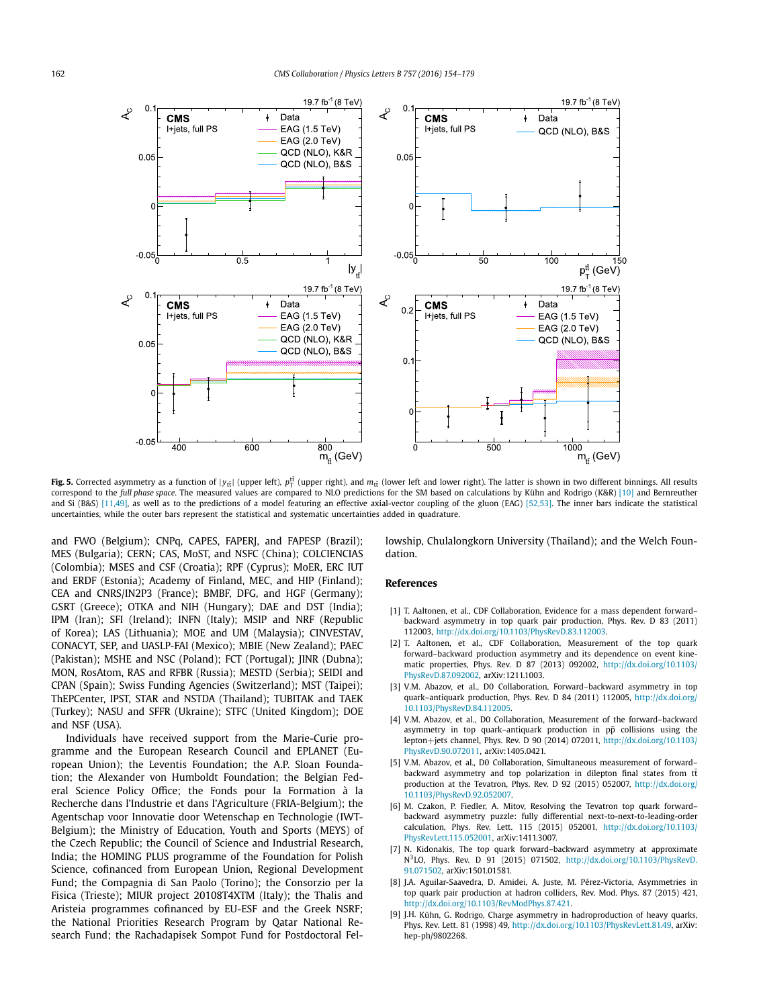<span id="page-8-0"></span>

**Fig. 5.** Corrected asymmetry as a function of  $|y_{\rm tf}|$  (upper left),  $p_{\rm T}^{\rm tr}$  (upper right), and  $m_{\rm tf}$  (lower left and lower right). The latter is shown in two different binnings. All results correspond to the *full phase space*. The measured values are compared to NLO predictions for the SM based on calculations by Kühn and Rodrigo (K&R) [\[10\]](#page-9-0) and Bernreuther and Si (B&S) [\[11,49\],](#page-9-0) as well as to the predictions of a model featuring an effective axial-vector coupling of the gluon (EAG) [\[52,53\].](#page-9-0) The inner bars indicate the statistical uncertainties, while the outer bars represent the statistical and systematic uncertainties added in quadrature.

and FWO (Belgium); CNPq, CAPES, FAPERJ, and FAPESP (Brazil); MES (Bulgaria); CERN; CAS, MoST, and NSFC (China); COLCIENCIAS (Colombia); MSES and CSF (Croatia); RPF (Cyprus); MoER, ERC IUT and ERDF (Estonia); Academy of Finland, MEC, and HIP (Finland); CEA and CNRS/IN2P3 (France); BMBF, DFG, and HGF (Germany); GSRT (Greece); OTKA and NIH (Hungary); DAE and DST (India); IPM (Iran); SFI (Ireland); INFN (Italy); MSIP and NRF (Republic of Korea); LAS (Lithuania); MOE and UM (Malaysia); CINVESTAV, CONACYT, SEP, and UASLP-FAI (Mexico); MBIE (New Zealand); PAEC (Pakistan); MSHE and NSC (Poland); FCT (Portugal); JINR (Dubna); MON, RosAtom, RAS and RFBR (Russia); MESTD (Serbia); SEIDI and CPAN (Spain); Swiss Funding Agencies (Switzerland); MST (Taipei); ThEPCenter, IPST, STAR and NSTDA (Thailand); TUBITAK and TAEK (Turkey); NASU and SFFR (Ukraine); STFC (United Kingdom); DOE and NSF (USA).

Individuals have received support from the Marie-Curie programme and the European Research Council and EPLANET (European Union); the Leventis Foundation; the A.P. Sloan Foundation; the Alexander von Humboldt Foundation; the Belgian Federal Science Policy Office; the Fonds pour la Formation à la Recherche dans l'Industrie et dans l'Agriculture (FRIA-Belgium); the Agentschap voor Innovatie door Wetenschap en Technologie (IWT-Belgium); the Ministry of Education, Youth and Sports (MEYS) of the Czech Republic; the Council of Science and Industrial Research, India; the HOMING PLUS programme of the Foundation for Polish Science, cofinanced from European Union, Regional Development Fund; the Compagnia di San Paolo (Torino); the Consorzio per la Fisica (Trieste); MIUR project 20108T4XTM (Italy); the Thalis and Aristeia programmes cofinanced by EU-ESF and the Greek NSRF; the National Priorities Research Program by Qatar National Research Fund; the Rachadapisek Sompot Fund for Postdoctoral Fellowship, Chulalongkorn University (Thailand); and the Welch Foundation.

#### **References**

- [1] T. Aaltonen, et al., CDF Collaboration, Evidence for a mass dependent forward– backward asymmetry in top quark pair production, Phys. Rev. D 83 (2011) 112003, [http://dx.doi.org/10.1103/PhysRevD.83.112003.](http://dx.doi.org/10.1103/PhysRevD.83.112003)
- [2] T. Aaltonen, et al., CDF Collaboration, Measurement of the top quark forward–backward production asymmetry and its dependence on event kinematic properties, Phys. Rev. D 87 (2013) 092002, [http://dx.doi.org/10.1103/](http://dx.doi.org/10.1103/PhysRevD.87.092002) [PhysRevD.87.092002,](http://dx.doi.org/10.1103/PhysRevD.87.092002) arXiv:1211.1003.
- [3] V.M. Abazov, et al., D0 Collaboration, Forward-backward asymmetry in top quark–antiquark production, Phys. Rev. D 84 (2011) 112005, [http://dx.doi.org/](http://dx.doi.org/10.1103/PhysRevD.84.112005) [10.1103/PhysRevD.84.112005](http://dx.doi.org/10.1103/PhysRevD.84.112005).
- [4] V.M. Abazov, et al., D0 Collaboration, Measurement of the forward–backward asymmetry in top quark-antiquark production in pp collisions using the lepton+jets channel, Phys. Rev. D 90 (2014) 072011, [http://dx.doi.org/10.1103/](http://dx.doi.org/10.1103/PhysRevD.90.072011) [PhysRevD.90.072011,](http://dx.doi.org/10.1103/PhysRevD.90.072011) arXiv:1405.0421.
- [5] V.M. Abazov, et al., D0 Collaboration, Simultaneous measurement of forward– backward asymmetry and top polarization in dilepton final states from  $t\bar{t}$ production at the Tevatron, Phys. Rev. D 92 (2015) 052007, [http://dx.doi.org/](http://dx.doi.org/10.1103/PhysRevD.92.052007) [10.1103/PhysRevD.92.052007.](http://dx.doi.org/10.1103/PhysRevD.92.052007)
- [6] M. Czakon, P. Fiedler, A. Mitov, Resolving the Tevatron top quark forward– backward asymmetry puzzle: fully differential next-to-next-to-leading-order calculation, Phys. Rev. Lett. 115 (2015) 052001, [http://dx.doi.org/10.1103/](http://dx.doi.org/10.1103/PhysRevLett.115.052001) [PhysRevLett.115.052001](http://dx.doi.org/10.1103/PhysRevLett.115.052001), arXiv:1411.3007.
- [7] N. Kidonakis, The top quark forward–backward asymmetry at approximate N3LO, Phys. Rev. D 91 (2015) 071502, [http://dx.doi.org/10.1103/PhysRevD.](http://dx.doi.org/10.1103/PhysRevD.91.071502) [91.071502,](http://dx.doi.org/10.1103/PhysRevD.91.071502) arXiv:1501.01581.
- [8] J.A. Aguilar-Saavedra, D. Amidei, A. Juste, M. Pérez-Victoria, Asymmetries in top quark pair production at hadron colliders, Rev. Mod. Phys. 87 (2015) 421, [http://dx.doi.org/10.1103/RevModPhys.87.421.](http://dx.doi.org/10.1103/RevModPhys.87.421)
- [9] J.H. Kühn, G. Rodrigo, Charge asymmetry in hadroproduction of heavy quarks, Phys. Rev. Lett. 81 (1998) 49, [http://dx.doi.org/10.1103/PhysRevLett.81.49,](http://dx.doi.org/10.1103/PhysRevLett.81.49) arXiv: hep-ph/9802268.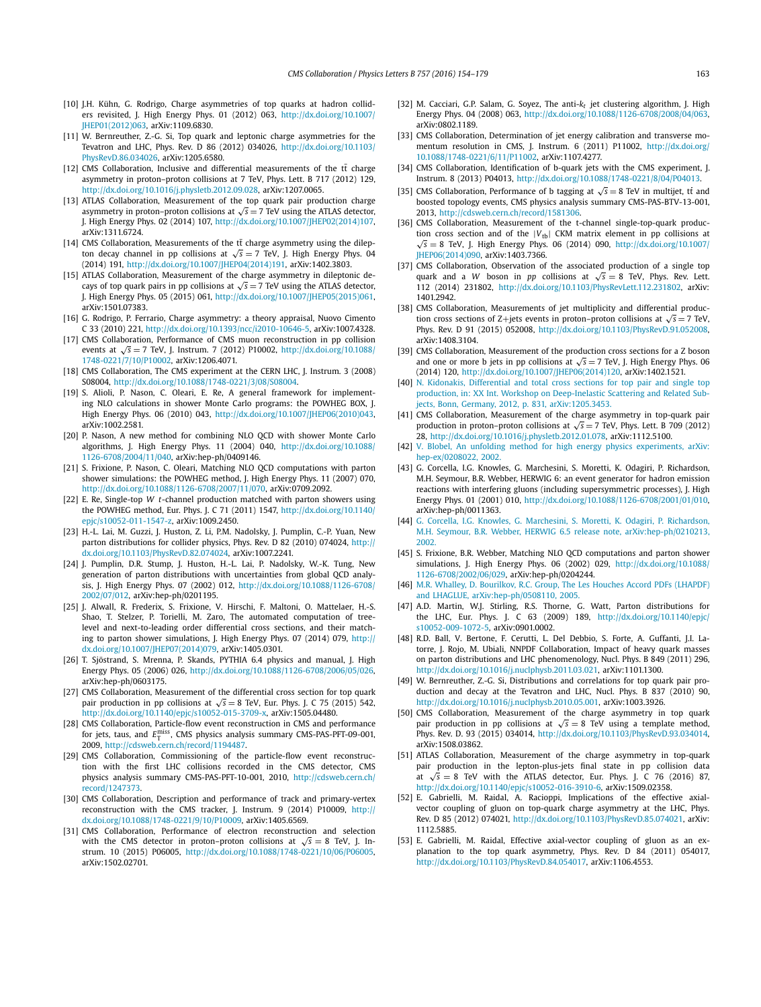- <span id="page-9-0"></span>[10] J.H. Kühn, G. Rodrigo, Charge asymmetries of top quarks at hadron colliders revisited, J. High Energy Phys. 01 (2012) 063, [http://dx.doi.org/10.1007/](http://dx.doi.org/10.1007/JHEP01(2012)063) [JHEP01\(2012\)063](http://dx.doi.org/10.1007/JHEP01(2012)063), arXiv:1109.6830.
- [11] W. Bernreuther, Z.-G. Si, Top quark and leptonic charge asymmetries for the Tevatron and LHC, Phys. Rev. D 86 (2012) 034026, [http://dx.doi.org/10.1103/](http://dx.doi.org/10.1103/PhysRevD.86.034026) [PhysRevD.86.034026](http://dx.doi.org/10.1103/PhysRevD.86.034026), arXiv:1205.6580.
- [12] CMS Collaboration, Inclusive and differential measurements of the  $t\bar{t}$  charge asymmetry in proton–proton collisions at 7 TeV, Phys. Lett. B 717 (2012) 129, <http://dx.doi.org/10.1016/j.physletb.2012.09.028>, arXiv:1207.0065.
- [13] ATLAS Collaboration, Measurement of the top quark pair production charge asymmetry in proton–proton collisions at  $\sqrt{s}$  = 7 TeV using the ATLAS detector, J. High Energy Phys. 02 (2014) 107, [http://dx.doi.org/10.1007/JHEP02\(2014\)107](http://dx.doi.org/10.1007/JHEP02(2014)107), arXiv:1311.6724.
- [14] CMS Collaboration, Measurements of the tt charge asymmetry using the dilepton decay channel in pp collisions at  $\sqrt{s} = 7$  TeV, J. High Energy Phys. 04 (2014) 191, [http://dx.doi.org/10.1007/JHEP04\(2014\)191](http://dx.doi.org/10.1007/JHEP04(2014)191), arXiv:1402.3803.
- [15] ATLAS Collaboration, Measurement of the charge asymmetry in dileptonic decays of top quark pairs in pp collisions at  $\sqrt{s} = 7$  TeV using the ATLAS detector, J. High Energy Phys. 05 (2015) 061, [http://dx.doi.org/10.1007/JHEP05\(2015\)061](http://dx.doi.org/10.1007/JHEP05(2015)061), arXiv:1501.07383.
- [16] G. Rodrigo, P. Ferrario, Charge asymmetry: a theory appraisal, Nuovo Cimento C 33 (2010) 221, [http://dx.doi.org/10.1393/ncc/i2010-10646-5,](http://dx.doi.org/10.1393/ncc/i2010-10646-5) arXiv:1007.4328.
- [17] CMS Collaboration, Performance of CMS muon reconstruction in pp collision events at <sup>√</sup>*<sup>s</sup>* <sup>=</sup> 7 TeV, J. Instrum. <sup>7</sup> (2012) P10002, [http://dx.doi.org/10.1088/](http://dx.doi.org/10.1088/1748-0221/7/10/P10002) [1748-0221/7/10/P10002](http://dx.doi.org/10.1088/1748-0221/7/10/P10002), arXiv:1206.4071.
- [18] CMS Collaboration, The CMS experiment at the CERN LHC, J. Instrum. 3 (2008) S08004, <http://dx.doi.org/10.1088/1748-0221/3/08/S08004>.
- [19] S. Alioli, P. Nason, C. Oleari, E. Re, A general framework for implementing NLO calculations in shower Monte Carlo programs: the POWHEG BOX, J. High Energy Phys. 06 (2010) 043, [http://dx.doi.org/10.1007/JHEP06\(2010\)043](http://dx.doi.org/10.1007/JHEP06(2010)043), arXiv:1002.2581.
- [20] P. Nason, A new method for combining NLO QCD with shower Monte Carlo algorithms, J. High Energy Phys. 11 (2004) 040, [http://dx.doi.org/10.1088/](http://dx.doi.org/10.1088/1126-6708/2004/11/040) [1126-6708/2004/11/040](http://dx.doi.org/10.1088/1126-6708/2004/11/040), arXiv:hep-ph/0409146.
- [21] S. Frixione, P. Nason, C. Oleari, Matching NLO QCD computations with parton shower simulations: the POWHEG method, J. High Energy Phys. 11 (2007) 070, <http://dx.doi.org/10.1088/1126-6708/2007/11/070>, arXiv:0709.2092.
- [22] E. Re, Single-top *W t*-channel production matched with parton showers using the POWHEG method, Eur. Phys. J. C 71 (2011) 1547, [http://dx.doi.org/10.1140/](http://dx.doi.org/10.1140/epjc/s10052-011-1547-z) [epjc/s10052-011-1547-z,](http://dx.doi.org/10.1140/epjc/s10052-011-1547-z) arXiv:1009.2450.
- [23] H.-L. Lai, M. Guzzi, J. Huston, Z. Li, P.M. Nadolsky, J. Pumplin, C.-P. Yuan, New parton distributions for collider physics, Phys. Rev. D 82 (2010) 074024, [http://](http://dx.doi.org/10.1103/PhysRevD.82.074024) [dx.doi.org/10.1103/PhysRevD.82.074024](http://dx.doi.org/10.1103/PhysRevD.82.074024), arXiv:1007.2241.
- [24] J. Pumplin, D.R. Stump, J. Huston, H.-L. Lai, P. Nadolsky, W.-K. Tung, New generation of parton distributions with uncertainties from global QCD analysis, J. High Energy Phys. 07 (2002) 012, [http://dx.doi.org/10.1088/1126-6708/](http://dx.doi.org/10.1088/1126-6708/2002/07/012) [2002/07/012,](http://dx.doi.org/10.1088/1126-6708/2002/07/012) arXiv:hep-ph/0201195.
- [25] J. Alwall, R. Frederix, S. Frixione, V. Hirschi, F. Maltoni, O. Mattelaer, H.-S. Shao, T. Stelzer, P. Torielli, M. Zaro, The automated computation of treelevel and next-to-leading order differential cross sections, and their matching to parton shower simulations, J. High Energy Phys. 07 (2014) 079, [http://](http://dx.doi.org/10.1007/JHEP07(2014)079) [dx.doi.org/10.1007/JHEP07\(2014\)079,](http://dx.doi.org/10.1007/JHEP07(2014)079) arXiv:1405.0301.
- [26] T. Sjöstrand, S. Mrenna, P. Skands, PYTHIA 6.4 physics and manual, J. High Energy Phys. 05 (2006) 026, [http://dx.doi.org/10.1088/1126-6708/2006/05/026,](http://dx.doi.org/10.1088/1126-6708/2006/05/026) arXiv:hep-ph/0603175.
- [27] CMS Collaboration, Measurement of the differential cross section for top quark pair production in pp collisions at  $\sqrt{s} = 8$  TeV, Eur. Phys. J. C 75 (2015) 542, [http://dx.doi.org/10.1140/epjc/s10052-015-3709-x,](http://dx.doi.org/10.1140/epjc/s10052-015-3709-x) arXiv:1505.04480.
- [28] CMS Collaboration, Particle-flow event reconstruction in CMS and performance for jets, taus, and  $E_{\rm T}^{\rm miss}$ , CMS physics analysis summary CMS-PAS-PFT-09-001, 2009, [http://cdsweb.cern.ch/record/1194487.](http://cdsweb.cern.ch/record/1194487)
- [29] CMS Collaboration, Commissioning of the particle-flow event reconstruction with the first LHC collisions recorded in the CMS detector, CMS physics analysis summary CMS-PAS-PFT-10-001, 2010, [http://cdsweb.cern.ch/](http://cdsweb.cern.ch/record/1247373) [record/1247373](http://cdsweb.cern.ch/record/1247373).
- [30] CMS Collaboration, Description and performance of track and primary-vertex reconstruction with the CMS tracker, J. Instrum. 9 (2014) P10009, [http://](http://dx.doi.org/10.1088/1748-0221/9/10/P10009) [dx.doi.org/10.1088/1748-0221/9/10/P10009,](http://dx.doi.org/10.1088/1748-0221/9/10/P10009) arXiv:1405.6569.
- [31] CMS Collaboration, Performance of electron reconstruction and selection with the CMS detector in proton–proton collisions at  $\sqrt{s} = 8$  TeV, J. Instrum. 10 (2015) P06005, [http://dx.doi.org/10.1088/1748-0221/10/06/P06005,](http://dx.doi.org/10.1088/1748-0221/10/06/P06005) arXiv:1502.02701.
- [32] M. Cacciari, G.P. Salam, G. Soyez, The anti-*kt* jet clustering algorithm, J. High Energy Phys. 04 (2008) 063, [http://dx.doi.org/10.1088/1126-6708/2008/04/063,](http://dx.doi.org/10.1088/1126-6708/2008/04/063) arXiv:0802.1189.
- [33] CMS Collaboration, Determination of jet energy calibration and transverse momentum resolution in CMS, J. Instrum. 6 (2011) P11002, [http://dx.doi.org/](http://dx.doi.org/10.1088/1748-0221/6/11/P11002) [10.1088/1748-0221/6/11/P11002](http://dx.doi.org/10.1088/1748-0221/6/11/P11002), arXiv:1107.4277.
- [34] CMS Collaboration, Identification of b-quark jets with the CMS experiment, J. Instrum. 8 (2013) P04013, [http://dx.doi.org/10.1088/1748-0221/8/04/P04013.](http://dx.doi.org/10.1088/1748-0221/8/04/P04013)
- [35] CMS Collaboration, Performance of b tagging at  $\sqrt{s} = 8$  TeV in multijet, tt and boosted topology events, CMS physics analysis summary CMS-PAS-BTV-13-001, 2013, [http://cdsweb.cern.ch/record/1581306.](http://cdsweb.cern.ch/record/1581306)
- [36] CMS Collaboration, Measurement of the t-channel single-top-quark production cross section and of the  $|V_{\text{tb}}|$  CKM matrix element in pp collisions at  $\sqrt{s} = 8$  TeV, J. High Energy Phys. 06 (2014) 090, [http://dx.doi.org/10.1007/](http://dx.doi.org/10.1007/JHEP06(2014)090) [JHEP06\(2014\)090](http://dx.doi.org/10.1007/JHEP06(2014)090), arXiv:1403.7366.
- [37] CMS Collaboration, Observation of the associated production of a single top quark and a *W* boson in *pp* collisions at  $\sqrt{s} = 8$  TeV, Phys. Rev. Lett. 112 (2014) 231802, <http://dx.doi.org/10.1103/PhysRevLett.112.231802>, arXiv: 1401.2942.
- [38] CMS Collaboration, Measurements of jet multiplicity and differential production cross sections of Z+jets events in proton–proton collisions at  $\sqrt{s} = 7$  TeV, Phys. Rev. D 91 (2015) 052008, [http://dx.doi.org/10.1103/PhysRevD.91.052008,](http://dx.doi.org/10.1103/PhysRevD.91.052008) arXiv:1408.3104.
- [39] CMS Collaboration, Measurement of the production cross sections for a Z boson and one or more b jets in pp collisions at  $\sqrt{s}$  = 7 TeV, J. High Energy Phys. 06 (2014) 120, [http://dx.doi.org/10.1007/JHEP06\(2014\)120,](http://dx.doi.org/10.1007/JHEP06(2014)120) arXiv:1402.1521.
- [40] N. Kidonakis, [Differential](http://refhub.elsevier.com/S0370-2693(16)30031-4/bib4B69646F6E616B69733A323031326462s1) and total cross sections for top pair and single top production, in: XX Int. Workshop on [Deep-Inelastic](http://refhub.elsevier.com/S0370-2693(16)30031-4/bib4B69646F6E616B69733A323031326462s1) Scattering and Related Subects, Bonn, Germany, 2012, p. 831, [arXiv:1205.3453.](http://refhub.elsevier.com/S0370-2693(16)30031-4/bib4B69646F6E616B69733A323031326462s1)
- [41] CMS Collaboration, Measurement of the charge asymmetry in top-quark pair production in proton–proton collisions at  $\sqrt{s}$  = 7 TeV, Phys. Lett. B 709 (2012) 28, [http://dx.doi.org/10.1016/j.physletb.2012.01.078,](http://dx.doi.org/10.1016/j.physletb.2012.01.078) arXiv:1112.5100.
- [42] V. Blobel, An unfolding method for high energy physics [experiments,](http://refhub.elsevier.com/S0370-2693(16)30031-4/bib426C6F62656C3A323030327075s1) arXiv: [hep-ex/0208022,](http://refhub.elsevier.com/S0370-2693(16)30031-4/bib426C6F62656C3A323030327075s1) 2002.
- [43] G. Corcella, I.G. Knowles, G. Marchesini, S. Moretti, K. Odagiri, P. Richardson, M.H. Seymour, B.R. Webber, HERWIG 6: an event generator for hadron emission reactions with interfering gluons (including supersymmetric processes), J. High Energy Phys. 01 (2001) 010, [http://dx.doi.org/10.1088/1126-6708/2001/01/010,](http://dx.doi.org/10.1088/1126-6708/2001/01/010) arXiv:hep-ph/0011363.
- [44] G. Corcella, I.G. Knowles, G. Marchesini, S. Moretti, K. Odagiri, P. [Richardson,](http://refhub.elsevier.com/S0370-2693(16)30031-4/bib436F7263656C6C613A323030326A63s1) M.H. Seymour, B.R. Webber, HERWIG 6.5 release note, [arXiv:hep-ph/0210213,](http://refhub.elsevier.com/S0370-2693(16)30031-4/bib436F7263656C6C613A323030326A63s1) [2002.](http://refhub.elsevier.com/S0370-2693(16)30031-4/bib436F7263656C6C613A323030326A63s1)
- [45] S. Frixione, B.R. Webber, Matching NLO QCD computations and parton shower simulations, J. High Energy Phys. 06 (2002) 029, [http://dx.doi.org/10.1088/](http://dx.doi.org/10.1088/1126-6708/2002/06/029) [1126-6708/2002/06/029](http://dx.doi.org/10.1088/1126-6708/2002/06/029), arXiv:hep-ph/0204244.
- [46] M.R. Whalley, D. [Bourilkov,](http://refhub.elsevier.com/S0370-2693(16)30031-4/bib6C6861706466s1) R.C. Group, The Les Houches Accord PDFs (LHAPDF) and LHAGLUE, [arXiv:hep-ph/0508110,](http://refhub.elsevier.com/S0370-2693(16)30031-4/bib6C6861706466s1) 2005.
- [47] A.D. Martin, W.J. Stirling, R.S. Thorne, G. Watt, Parton distributions for the LHC, Eur. Phys. J. C 63 (2009) 189, [http://dx.doi.org/10.1140/epjc/](http://dx.doi.org/10.1140/epjc/s10052-009-1072-5) [s10052-009-1072-5,](http://dx.doi.org/10.1140/epjc/s10052-009-1072-5) arXiv:0901.0002.
- [48] R.D. Ball, V. Bertone, F. Cerutti, L. Del Debbio, S. Forte, A. Guffanti, J.I. Latorre, J. Rojo, M. Ubiali, NNPDF Collaboration, Impact of heavy quark masses on parton distributions and LHC phenomenology, Nucl. Phys. B 849 (2011) 296, [http://dx.doi.org/10.1016/j.nuclphysb.2011.03.021,](http://dx.doi.org/10.1016/j.nuclphysb.2011.03.021) arXiv:1101.1300.
- [49] W. Bernreuther, Z.-G. Si, Distributions and correlations for top quark pair production and decay at the Tevatron and LHC, Nucl. Phys. B 837 (2010) 90, <http://dx.doi.org/10.1016/j.nuclphysb.2010.05.001>, arXiv:1003.3926.
- [50] CMS Collaboration, Measurement of the charge asymmetry in top quark pair production in pp collisions at  $\sqrt{s} = 8$  TeV using a template method, Phys. Rev. D. 93 (2015) 034014, [http://dx.doi.org/10.1103/PhysRevD.93.034014,](http://dx.doi.org/10.1103/PhysRevD.93.034014) arXiv:1508.03862.
- [51] ATLAS Collaboration, Measurement of the charge asymmetry in top-quark pair production in the lepton-plus-jets final state in pp collision data at  $\sqrt{s}$  = 8 TeV with the ATLAS detector, Eur. Phys. J. C 76 (2016) 87, <http://dx.doi.org/10.1140/epjc/s10052-016-3910-6>, arXiv:1509.02358.
- [52] E. Gabrielli, M. Raidal, A. Racioppi, Implications of the effective axialvector coupling of gluon on top-quark charge asymmetry at the LHC, Phys. Rev. D 85 (2012) 074021, <http://dx.doi.org/10.1103/PhysRevD.85.074021>, arXiv: 1112.5885.
- [53] E. Gabrielli, M. Raidal, Effective axial-vector coupling of gluon as an explanation to the top quark asymmetry, Phys. Rev. D 84 (2011) 054017, <http://dx.doi.org/10.1103/PhysRevD.84.054017>, arXiv:1106.4553.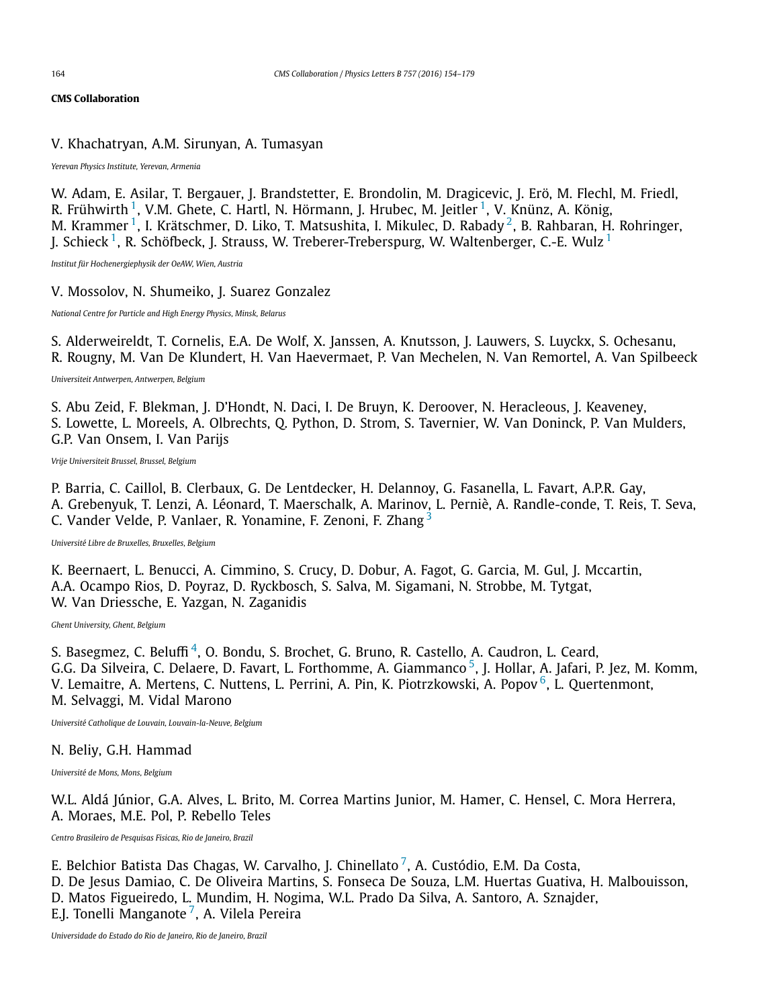#### <span id="page-10-0"></span>**CMS Collaboration**

### V. Khachatryan, A.M. Sirunyan, A. Tumasyan

*Yerevan Physics Institute, Yerevan, Armenia*

W. Adam, E. Asilar, T. Bergauer, J. Brandstetter, E. Brondolin, M. Dragicevic, J. Erö, M. Flechl, M. Friedl, R. Frühwirth <sup>1</sup>, V.M. Ghete, C. Hartl, N. Hörmann, J. Hrubec, M. Jeitler <sup>1</sup>, V. Knünz, A. König, M. Krammer<sup>1</sup>, I. Krätschmer, D. Liko, T. Matsushita, I. Mikulec, D. Rabady<sup>2</sup>, B. Rahbaran, H. Rohringer, J. Schieck<sup>[1](#page-24-0)</sup>, R. Schöfbeck, J. Strauss, W. Treberer-Treberspurg, W. Waltenberger, C.-E. Wulz<sup>1</sup>

*Institut für Hochenergiephysik der OeAW, Wien, Austria*

#### V. Mossolov, N. Shumeiko, J. Suarez Gonzalez

*National Centre for Particle and High Energy Physics, Minsk, Belarus*

S. Alderweireldt, T. Cornelis, E.A. De Wolf, X. Janssen, A. Knutsson, J. Lauwers, S. Luyckx, S. Ochesanu, R. Rougny, M. Van De Klundert, H. Van Haevermaet, P. Van Mechelen, N. Van Remortel, A. Van Spilbeeck

*Universiteit Antwerpen, Antwerpen, Belgium*

S. Abu Zeid, F. Blekman, J. D'Hondt, N. Daci, I. De Bruyn, K. Deroover, N. Heracleous, J. Keaveney, S. Lowette, L. Moreels, A. Olbrechts, Q. Python, D. Strom, S. Tavernier, W. Van Doninck, P. Van Mulders, G.P. Van Onsem, I. Van Parijs

*Vrije Universiteit Brussel, Brussel, Belgium*

P. Barria, C. Caillol, B. Clerbaux, G. De Lentdecker, H. Delannoy, G. Fasanella, L. Favart, A.P.R. Gay, A. Grebenyuk, T. Lenzi, A. Léonard, T. Maerschalk, A. Marinov, L. Perniè, A. Randle-conde, T. Reis, T. Seva, C. Vander Velde, P. Vanlaer, R. Yonamine, F. Zenoni, F. Zhang [3](#page-24-0)

*Université Libre de Bruxelles, Bruxelles, Belgium*

K. Beernaert, L. Benucci, A. Cimmino, S. Crucy, D. Dobur, A. Fagot, G. Garcia, M. Gul, J. Mccartin, A.A. Ocampo Rios, D. Poyraz, D. Ryckbosch, S. Salva, M. Sigamani, N. Strobbe, M. Tytgat, W. Van Driessche, E. Yazgan, N. Zaganidis

*Ghent University, Ghent, Belgium*

S. Basegmez, C. Beluffi<sup>4</sup>, O. Bondu, S. Brochet, G. Bruno, R. Castello, A. Caudron, L. Ceard, G.G. Da Silveira, C. Delaere, D. Favart, L. Forthomme, A. Giammanco<sup>[5](#page-24-0)</sup>, J. Hollar, A. Jafari, P. Jez, M. Komm, V. Lemaitre, A. Mertens, C. Nuttens, L. Perrini, A. Pin, K. Piotrzkowski, A. Popov [6,](#page-24-0) L. Quertenmont, M. Selvaggi, M. Vidal Marono

*Université Catholique de Louvain, Louvain-la-Neuve, Belgium*

#### N. Beliy, G.H. Hammad

*Université de Mons, Mons, Belgium*

W.L. Aldá Júnior, G.A. Alves, L. Brito, M. Correa Martins Junior, M. Hamer, C. Hensel, C. Mora Herrera, A. Moraes, M.E. Pol, P. Rebello Teles

*Centro Brasileiro de Pesquisas Fisicas, Rio de Janeiro, Brazil*

E. Belchior Batista Das Chagas, W. Carvalho, J. Chinellato<sup>7</sup>, A. Custódio, E.M. Da Costa, D. De Jesus Damiao, C. De Oliveira Martins, S. Fonseca De Souza, L.M. Huertas Guativa, H. Malbouisson, D. Matos Figueiredo, L. Mundim, H. Nogima, W.L. Prado Da Silva, A. Santoro, A. Sznajder, E.J. Tonelli Manganote<sup>7</sup>, A. Vilela Pereira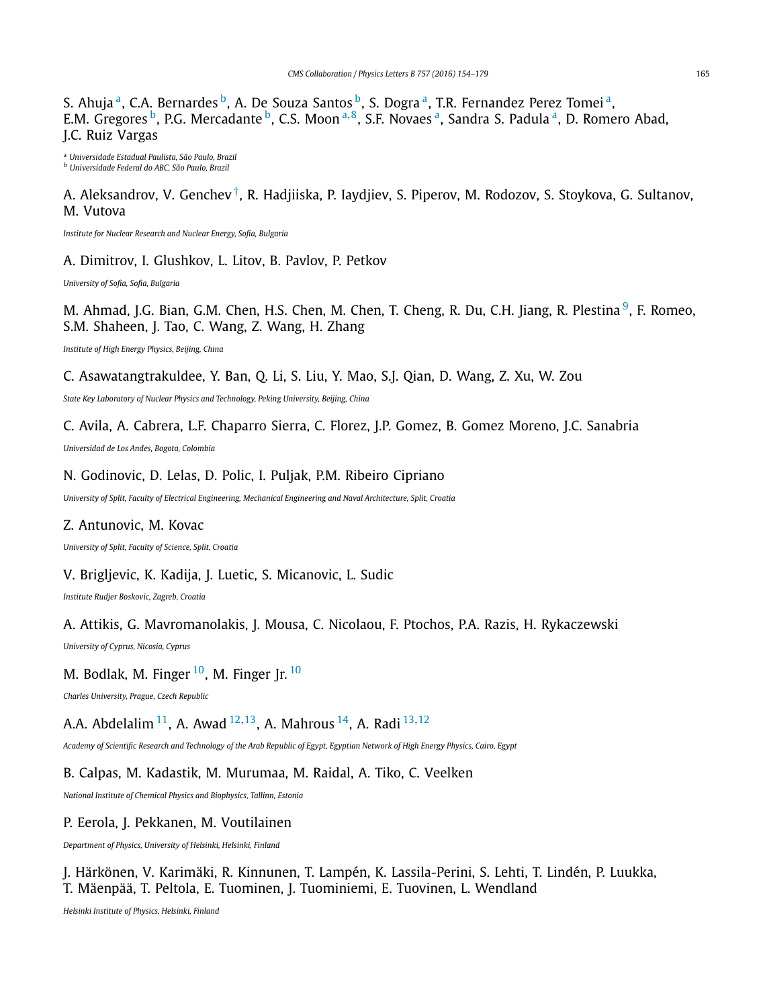S. Ahuja<sup>a</sup>, C.A. Bernardes <sup>b</sup>, A. De Souza Santos <sup>b</sup>, S. Dogra<sup>a</sup>, T.R. Fernandez Perez Tomei<sup>a</sup>, E.M. Gregores <sup>b</sup>, P.G. Mercadante <sup>b</sup>, C.S. Moon <sup>a, 8</sup>, S.F. Novaes <sup>a</sup>, Sandra S. Padula <sup>a</sup>, D. Romero Abad, J.C. Ruiz Vargas

<sup>a</sup> *Universidade Estadual Paulista, São Paulo, Brazil* <sup>b</sup> *Universidade Federal do ABC, São Paulo, Brazil*

## A. Aleksandrov, V. Genchev [†](#page-24-0), R. Hadjiiska, P. Iaydjiev, S. Piperov, M. Rodozov, S. Stoykova, G. Sultanov, M. Vutova

*Institute for Nuclear Research and Nuclear Energy, Sofia, Bulgaria*

A. Dimitrov, I. Glushkov, L. Litov, B. Pavlov, P. Petkov

*University of Sofia, Sofia, Bulgaria*

M. Ahmad, J.G. Bian, G.M. Chen, H.S. Chen, M. Chen, T. Cheng, R. Du, C.H. Iiang, R. Plestina<sup>9</sup>. F. Romeo. S.M. Shaheen, J. Tao, C. Wang, Z. Wang, H. Zhang

*Institute of High Energy Physics, Beijing, China*

#### C. Asawatangtrakuldee, Y. Ban, Q. Li, S. Liu, Y. Mao, S.J. Qian, D. Wang, Z. Xu, W. Zou

*State Key Laboratory of Nuclear Physics and Technology, Peking University, Beijing, China*

### C. Avila, A. Cabrera, L.F. Chaparro Sierra, C. Florez, J.P. Gomez, B. Gomez Moreno, J.C. Sanabria

*Universidad de Los Andes, Bogota, Colombia*

#### N. Godinovic, D. Lelas, D. Polic, I. Puljak, P.M. Ribeiro Cipriano

*University of Split, Faculty of Electrical Engineering, Mechanical Engineering and Naval Architecture, Split, Croatia*

### Z. Antunovic, M. Kovac

*University of Split, Faculty of Science, Split, Croatia*

### V. Brigljevic, K. Kadija, J. Luetic, S. Micanovic, L. Sudic

*Institute Rudjer Boskovic, Zagreb, Croatia*

### A. Attikis, G. Mavromanolakis, J. Mousa, C. Nicolaou, F. Ptochos, P.A. Razis, H. Rykaczewski

*University of Cyprus, Nicosia, Cyprus*

# M. Bodlak, M. Finger  $10$ , M. Finger Jr.  $10$

*Charles University, Prague, Czech Republic*

## A.A. Abdelalim [11,](#page-24-0) A. Awad [12](#page-24-0)*,*[13](#page-24-0), A. Mahrous [14,](#page-24-0) A. Radi [13](#page-24-0)*,*[12](#page-24-0)

Academy of Scientific Research and Technology of the Arab Republic of Egypt, Egyptian Network of High Energy Physics, Cairo, Egypt

### B. Calpas, M. Kadastik, M. Murumaa, M. Raidal, A. Tiko, C. Veelken

*National Institute of Chemical Physics and Biophysics, Tallinn, Estonia*

### P. Eerola, J. Pekkanen, M. Voutilainen

*Department of Physics, University of Helsinki, Helsinki, Finland*

### J. Härkönen, V. Karimäki, R. Kinnunen, T. Lampén, K. Lassila-Perini, S. Lehti, T. Lindén, P. Luukka, T. Mäenpää, T. Peltola, E. Tuominen, J. Tuominiemi, E. Tuovinen, L. Wendland

*Helsinki Institute of Physics, Helsinki, Finland*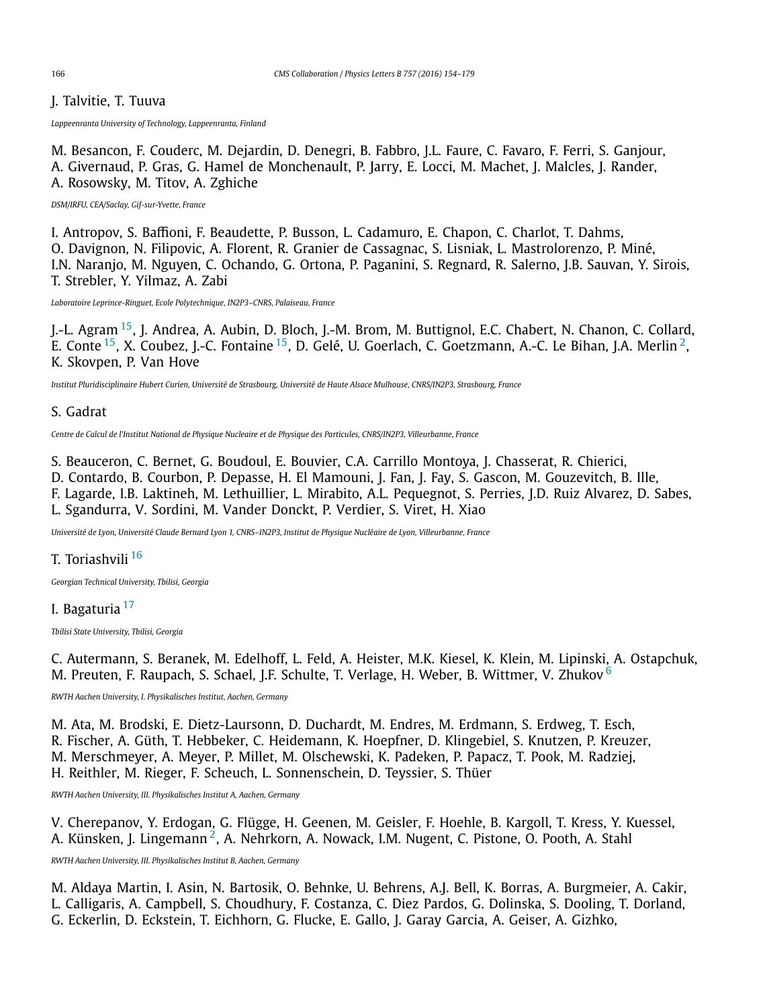#### J. Talvitie, T. Tuuva

*Lappeenranta University of Technology, Lappeenranta, Finland*

M. Besancon, F. Couderc, M. Dejardin, D. Denegri, B. Fabbro, J.L. Faure, C. Favaro, F. Ferri, S. Ganjour, A. Givernaud, P. Gras, G. Hamel de Monchenault, P. Jarry, E. Locci, M. Machet, J. Malcles, J. Rander, A. Rosowsky, M. Titov, A. Zghiche

*DSM/IRFU, CEA/Saclay, Gif-sur-Yvette, France*

I. Antropov, S. Baffioni, F. Beaudette, P. Busson, L. Cadamuro, E. Chapon, C. Charlot, T. Dahms, O. Davignon, N. Filipovic, A. Florent, R. Granier de Cassagnac, S. Lisniak, L. Mastrolorenzo, P. Miné, I.N. Naranjo, M. Nguyen, C. Ochando, G. Ortona, P. Paganini, S. Regnard, R. Salerno, J.B. Sauvan, Y. Sirois, T. Strebler, Y. Yilmaz, A. Zabi

*Laboratoire Leprince-Ringuet, Ecole Polytechnique, IN2P3–CNRS, Palaiseau, France*

J.-L. Agram [15,](#page-24-0) J. Andrea, A. Aubin, D. Bloch, J.-M. Brom, M. Buttignol, E.C. Chabert, N. Chanon, C. Collard, E. Conte [15,](#page-24-0) X. Coubez, J.-C. Fontaine [15,](#page-24-0) D. Gelé, U. Goerlach, C. Goetzmann, A.-C. Le Bihan, J.A. Merlin [2,](#page-24-0) K. Skovpen, P. Van Hove

Institut Pluridisciplinaire Hubert Curien, Université de Strasbourg, Université de Haute Alsace Mulhouse, CNRS/IN2P3, Strasbourg, France

#### S. Gadrat

Centre de Calcul de l'Institut National de Physique Nucleaire et de Physique des Particules, CNRS/IN2P3, Villeurbanne, France

S. Beauceron, C. Bernet, G. Boudoul, E. Bouvier, C.A. Carrillo Montoya, J. Chasserat, R. Chierici, D. Contardo, B. Courbon, P. Depasse, H. El Mamouni, J. Fan, J. Fay, S. Gascon, M. Gouzevitch, B. Ille, F. Lagarde, I.B. Laktineh, M. Lethuillier, L. Mirabito, A.L. Pequegnot, S. Perries, J.D. Ruiz Alvarez, D. Sabes, L. Sgandurra, V. Sordini, M. Vander Donckt, P. Verdier, S. Viret, H. Xiao

Université de Lyon, Université Claude Bernard Lyon 1, CNRS-IN2P3, Institut de Physique Nucléaire de Lyon, Villeurbanne, France

### T. Toriashvili [16](#page-24-0)

*Georgian Technical University, Tbilisi, Georgia*

## I. Bagaturia [17](#page-24-0)

*Tbilisi State University, Tbilisi, Georgia*

C. Autermann, S. Beranek, M. Edelhoff, L. Feld, A. Heister, M.K. Kiesel, K. Klein, M. Lipinski, A. Ostapchuk, M. Preuten, F. Raupach, S. Schael, J.F. Schulte, T. Verlage, H. Weber, B. Wittmer, V. Zhukov [6](#page-24-0)

*RWTH Aachen University, I. Physikalisches Institut, Aachen, Germany*

M. Ata, M. Brodski, E. Dietz-Laursonn, D. Duchardt, M. Endres, M. Erdmann, S. Erdweg, T. Esch, R. Fischer, A. Güth, T. Hebbeker, C. Heidemann, K. Hoepfner, D. Klingebiel, S. Knutzen, P. Kreuzer, M. Merschmeyer, A. Meyer, P. Millet, M. Olschewski, K. Padeken, P. Papacz, T. Pook, M. Radziej, H. Reithler, M. Rieger, F. Scheuch, L. Sonnenschein, D. Teyssier, S. Thüer

*RWTH Aachen University, III. Physikalisches Institut A, Aachen, Germany*

V. Cherepanov, Y. Erdogan, G. Flügge, H. Geenen, M. Geisler, F. Hoehle, B. Kargoll, T. Kress, Y. Kuessel, A. Künsken, J. Lingemann<sup>2</sup>, A. Nehrkorn, A. Nowack, I.M. Nugent, C. Pistone, O. Pooth, A. Stahl

*RWTH Aachen University, III. Physikalisches Institut B, Aachen, Germany*

M. Aldaya Martin, I. Asin, N. Bartosik, O. Behnke, U. Behrens, A.J. Bell, K. Borras, A. Burgmeier, A. Cakir, L. Calligaris, A. Campbell, S. Choudhury, F. Costanza, C. Diez Pardos, G. Dolinska, S. Dooling, T. Dorland, G. Eckerlin, D. Eckstein, T. Eichhorn, G. Flucke, E. Gallo, J. Garay Garcia, A. Geiser, A. Gizhko,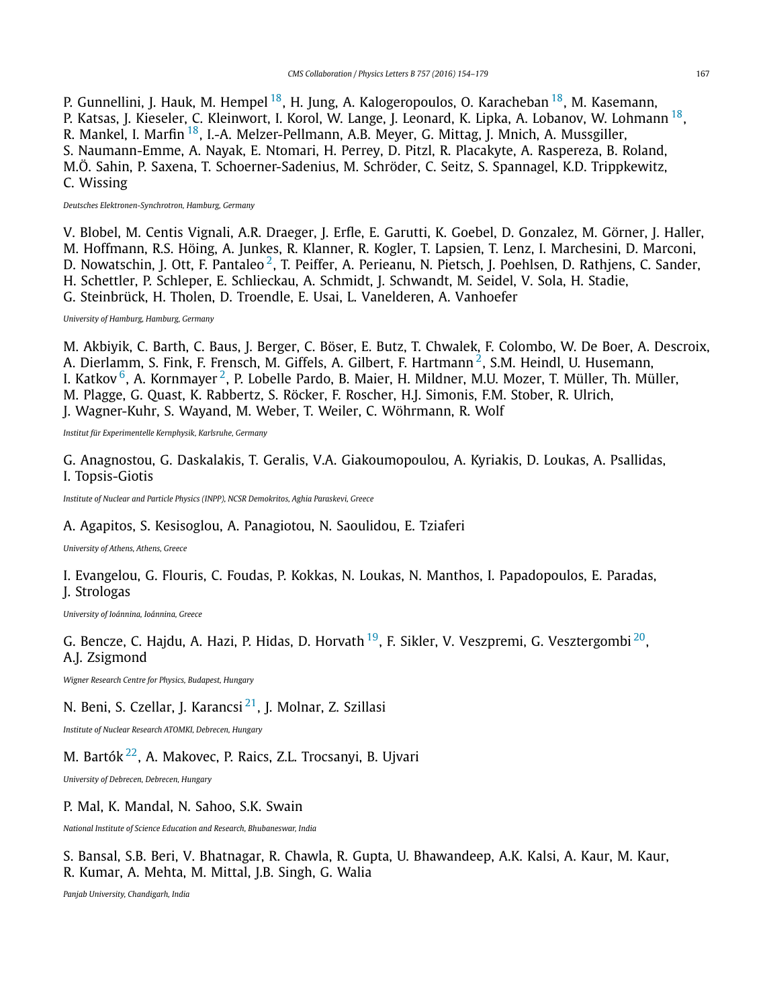P. Gunnellini, J. Hauk, M. Hempel<sup>18</sup>, H. Jung, A. Kalogeropoulos, O. Karacheban<sup>18</sup>, M. Kasemann, P. Katsas, J. Kieseler, C. Kleinwort, I. Korol, W. Lange, J. Leonard, K. Lipka, A. Lobanov, W. Lohmann [18,](#page-24-0) R. Mankel, I. Marfin [18,](#page-24-0) I.-A. Melzer-Pellmann, A.B. Meyer, G. Mittag, J. Mnich, A. Mussgiller, S. Naumann-Emme, A. Nayak, E. Ntomari, H. Perrey, D. Pitzl, R. Placakyte, A. Raspereza, B. Roland, M.Ö. Sahin, P. Saxena, T. Schoerner-Sadenius, M. Schröder, C. Seitz, S. Spannagel, K.D. Trippkewitz, C. Wissing

*Deutsches Elektronen-Synchrotron, Hamburg, Germany*

V. Blobel, M. Centis Vignali, A.R. Draeger, J. Erfle, E. Garutti, K. Goebel, D. Gonzalez, M. Görner, J. Haller, M. Hoffmann, R.S. Höing, A. Junkes, R. Klanner, R. Kogler, T. Lapsien, T. Lenz, I. Marchesini, D. Marconi, D. Nowatschin, J. Ott, F. Pantaleo<sup>2</sup>, T. Peiffer, A. Perieanu, N. Pietsch, J. Poehlsen, D. Rathjens, C. Sander, H. Schettler, P. Schleper, E. Schlieckau, A. Schmidt, J. Schwandt, M. Seidel, V. Sola, H. Stadie, G. Steinbrück, H. Tholen, D. Troendle, E. Usai, L. Vanelderen, A. Vanhoefer

*University of Hamburg, Hamburg, Germany*

M. Akbiyik, C. Barth, C. Baus, J. Berger, C. Böser, E. Butz, T. Chwalek, F. Colombo, W. De Boer, A. Descroix, A. Dierlamm, S. Fink, F. Frensch, M. Giffels, A. Gilbert, F. Hartmann<sup>2</sup>, S.M. Heindl, U. Husemann, I. Katkov<sup>6</sup>, A. Kornmayer<sup>2</sup>, P. Lobelle Pardo, B. Maier, H. Mildner, M.U. Mozer, T. Müller, Th. Müller, M. Plagge, G. Quast, K. Rabbertz, S. Röcker, F. Roscher, H.J. Simonis, F.M. Stober, R. Ulrich, J. Wagner-Kuhr, S. Wayand, M. Weber, T. Weiler, C. Wöhrmann, R. Wolf

*Institut für Experimentelle Kernphysik, Karlsruhe, Germany*

G. Anagnostou, G. Daskalakis, T. Geralis, V.A. Giakoumopoulou, A. Kyriakis, D. Loukas, A. Psallidas, I. Topsis-Giotis

*Institute of Nuclear and Particle Physics (INPP), NCSR Demokritos, Aghia Paraskevi, Greece*

#### A. Agapitos, S. Kesisoglou, A. Panagiotou, N. Saoulidou, E. Tziaferi

*University of Athens, Athens, Greece*

I. Evangelou, G. Flouris, C. Foudas, P. Kokkas, N. Loukas, N. Manthos, I. Papadopoulos, E. Paradas, J. Strologas

*University of Ioánnina, Ioánnina, Greece*

# G. Bencze, C. Hajdu, A. Hazi, P. Hidas, D. Horvath [19,](#page-24-0) F. Sikler, V. Veszpremi, G. Vesztergombi [20,](#page-24-0) A.J. Zsigmond

*Wigner Research Centre for Physics, Budapest, Hungary*

N. Beni, S. Czellar, J. Karancsi [21,](#page-24-0) J. Molnar, Z. Szillasi

*Institute of Nuclear Research ATOMKI, Debrecen, Hungary*

# M. Bartók [22,](#page-24-0) A. Makovec, P. Raics, Z.L. Trocsanyi, B. Ujvari

*University of Debrecen, Debrecen, Hungary*

#### P. Mal, K. Mandal, N. Sahoo, S.K. Swain

*National Institute of Science Education and Research, Bhubaneswar, India*

S. Bansal, S.B. Beri, V. Bhatnagar, R. Chawla, R. Gupta, U. Bhawandeep, A.K. Kalsi, A. Kaur, M. Kaur, R. Kumar, A. Mehta, M. Mittal, J.B. Singh, G. Walia

*Panjab University, Chandigarh, India*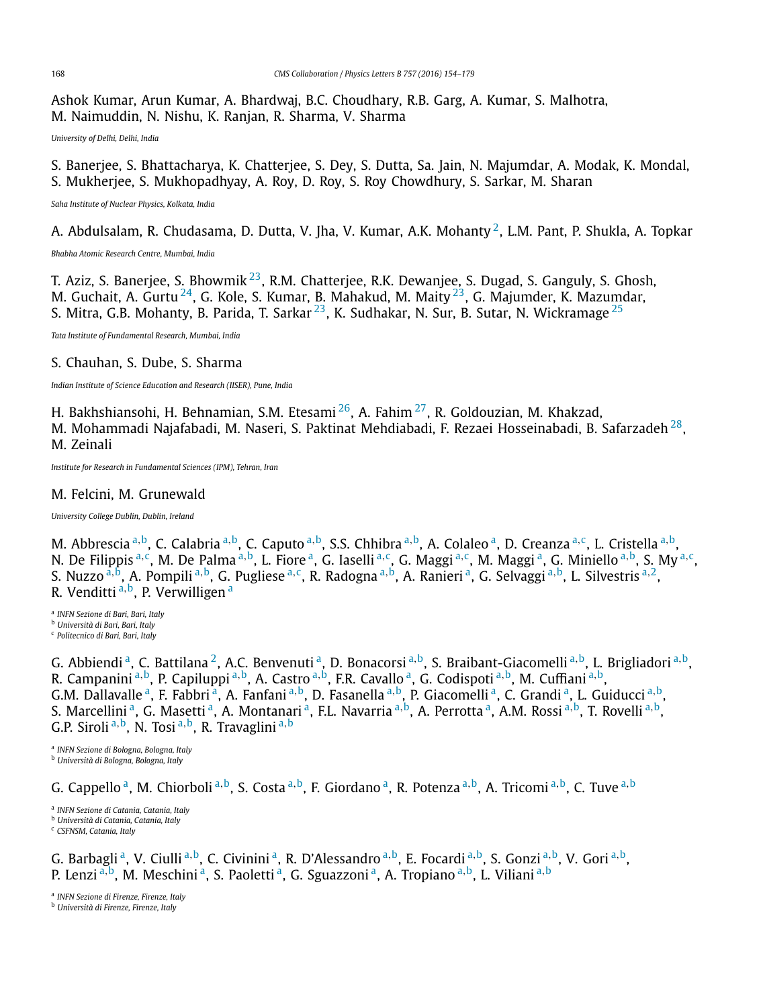Ashok Kumar, Arun Kumar, A. Bhardwaj, B.C. Choudhary, R.B. Garg, A. Kumar, S. Malhotra, M. Naimuddin, N. Nishu, K. Ranjan, R. Sharma, V. Sharma

*University of Delhi, Delhi, India*

S. Banerjee, S. Bhattacharya, K. Chatterjee, S. Dey, S. Dutta, Sa. Jain, N. Majumdar, A. Modak, K. Mondal, S. Mukherjee, S. Mukhopadhyay, A. Roy, D. Roy, S. Roy Chowdhury, S. Sarkar, M. Sharan

*Saha Institute of Nuclear Physics, Kolkata, India*

A. Abdulsalam, R. Chudasama, D. Dutta, V. Jha, V. Kumar, A.K. Mohanty [2,](#page-24-0) L.M. Pant, P. Shukla, A. Topkar

*Bhabha Atomic Research Centre, Mumbai, India*

T. Aziz, S. Banerjee, S. Bhowmik<sup>[23](#page-24-0)</sup>, R.M. Chatterjee, R.K. Dewanjee, S. Dugad, S. Ganguly, S. Ghosh, M. Guchait, A. Gurtu <sup>24</sup>, G. Kole, S. Kumar, B. Mahakud, M. Maity <sup>23</sup>, G. Majumder, K. Mazumdar, S. Mitra, G.B. Mohanty, B. Parida, T. Sarkar<sup>[23](#page-24-0)</sup>, K. Sudhakar, N. Sur, B. Sutar, N. Wickramage<sup>[25](#page-24-0)</sup>

*Tata Institute of Fundamental Research, Mumbai, India*

#### S. Chauhan, S. Dube, S. Sharma

*Indian Institute of Science Education and Research (IISER), Pune, India*

H. Bakhshiansohi, H. Behnamian, S.M. Etesami [26,](#page-24-0) A. Fahim [27,](#page-24-0) R. Goldouzian, M. Khakzad, M. Mohammadi Najafabadi, M. Naseri, S. Paktinat Mehdiabadi, F. Rezaei Hosseinabadi, B. Safarzadeh [28,](#page-24-0) M. Zeinali

*Institute for Research in Fundamental Sciences (IPM), Tehran, Iran*

#### M. Felcini, M. Grunewald

*University College Dublin, Dublin, Ireland*

M. Abbrescia <sup>a</sup>*,*b, C. Calabria <sup>a</sup>*,*b, C. Caputo <sup>a</sup>*,*b, S.S. Chhibra <sup>a</sup>*,*b, A. Colaleo a, D. Creanza <sup>a</sup>*,*c, L. Cristella <sup>a</sup>*,*b, N. De Filippis <sup>a</sup>*,*c, M. De Palma <sup>a</sup>*,*b, L. Fiore a, G. Iaselli <sup>a</sup>*,*c, G. Maggi <sup>a</sup>*,*c, M. Maggi a, G. Miniello <sup>a</sup>*,*b, S. My <sup>a</sup>*,*c, S. Nuzzo <sup>a</sup>*,*b, A. Pompili <sup>a</sup>*,*b, G. Pugliese <sup>a</sup>*,*c, R. Radogna <sup>a</sup>*,*b, A. Ranieri a, G. Selvaggi <sup>a</sup>*,*b, L. Silvestris <sup>a</sup>*,*[2,](#page-24-0) R. Venditti <sup>a</sup>*,*b, P. Verwilligen <sup>a</sup>

<sup>a</sup> *INFN Sezione di Bari, Bari, Italy*

<sup>b</sup> *Università di Bari, Bari, Italy*

<sup>c</sup> *Politecnico di Bari, Bari, Italy*

G. Abbiendi a, C. Battilana [2,](#page-24-0) A.C. Benvenuti a, D. Bonacorsi <sup>a</sup>*,*b, S. Braibant-Giacomelli <sup>a</sup>*,*b, L. Brigliadori <sup>a</sup>*,*b, R. Campanini <sup>a</sup>*,*b, P. Capiluppi <sup>a</sup>*,*b, A. Castro <sup>a</sup>*,*b, F.R. Cavallo a, G. Codispoti <sup>a</sup>*,*b, M. Cuffiani <sup>a</sup>*,*b, G.M. Dallavalle <sup>a</sup>, F. Fabbri <sup>a</sup>, A. Fanfani <sup>a,b</sup>, D. Fasanella <sup>a,b</sup>, P. Giacomelli <sup>a</sup>, C. Grandi <sup>a</sup>, L. Guiducci <sup>a,b</sup>, S. Marcellini<sup>a</sup>, G. Masetti<sup>a</sup>, A. Montanari<sup>a</sup>, F.L. Navarria <sup>a, b</sup>, A. Perrotta <sup>a</sup>, A.M. Rossi <sup>a, b</sup>, T. Rovelli <sup>a, b</sup>, G.P. Siroli <sup>a</sup>*,*b, N. Tosi <sup>a</sup>*,*b, R. Travaglini <sup>a</sup>*,*<sup>b</sup>

<sup>a</sup> *INFN Sezione di Bologna, Bologna, Italy*

<sup>b</sup> *Università di Bologna, Bologna, Italy*

G. Cappello a, M. Chiorboli <sup>a</sup>*,*b, S. Costa <sup>a</sup>*,*b, F. Giordano a, R. Potenza <sup>a</sup>*,*b, A. Tricomi <sup>a</sup>*,*b, C. Tuve <sup>a</sup>*,*<sup>b</sup>

<sup>a</sup> *INFN Sezione di Catania, Catania, Italy*

<sup>b</sup> *Università di Catania, Catania, Italy*

<sup>c</sup> *CSFNSM, Catania, Italy*

G. Barbagli a, V. Ciulli <sup>a</sup>*,*b, C. Civinini a, R. D'Alessandro <sup>a</sup>*,*b, E. Focardi <sup>a</sup>*,*b, S. Gonzi <sup>a</sup>*,*b, V. Gori <sup>a</sup>*,*b, P. Lenzi <sup>a</sup>*,*b, M. Meschini a, S. Paoletti a, G. Sguazzoni a, A. Tropiano <sup>a</sup>*,*b, L. Viliani <sup>a</sup>*,*<sup>b</sup>

<sup>a</sup> *INFN Sezione di Firenze, Firenze, Italy*

<sup>b</sup> *Università di Firenze, Firenze, Italy*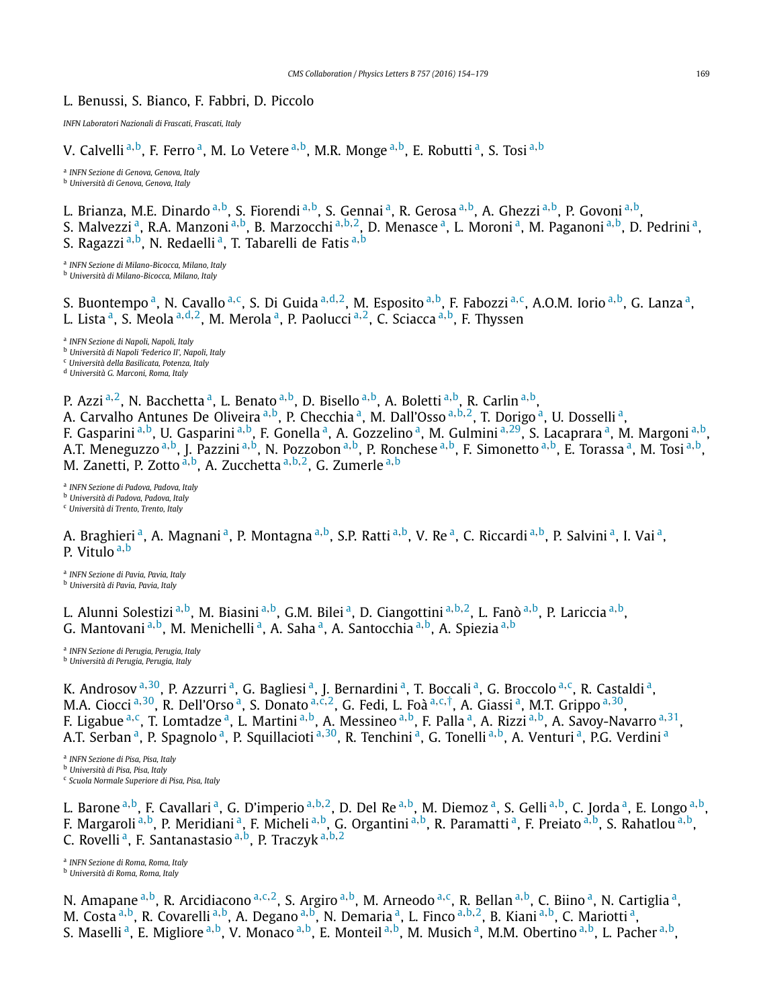### L. Benussi, S. Bianco, F. Fabbri, D. Piccolo

*INFN Laboratori Nazionali di Frascati, Frascati, Italy*

V. Calvelli <sup>a</sup>*,*b, F. Ferro a, M. Lo Vetere <sup>a</sup>*,*b, M.R. Monge <sup>a</sup>*,*b, E. Robutti a, S. Tosi <sup>a</sup>*,*<sup>b</sup>

<sup>a</sup> *INFN Sezione di Genova, Genova, Italy* <sup>b</sup> *Università di Genova, Genova, Italy*

L. Brianza, M.E. Dinardo <sup>a</sup>*,*b, S. Fiorendi <sup>a</sup>*,*b, S. Gennai a, R. Gerosa <sup>a</sup>*,*b, A. Ghezzi <sup>a</sup>*,*b, P. Govoni <sup>a</sup>*,*b, S. Malvezzi<sup>a</sup>, R.A. Manzoni<sup>a,b</sup>, B. Marzocchi<sup>a,b,2</sup>, D. Menasce<sup>a</sup>, L. Moroni<sup>a</sup>, M. Paganoni<sup>a,b</sup>, D. Pedrini<sup>a</sup>, S. Ragazzi <sup>a</sup>*,*b, N. Redaelli a, T. Tabarelli de Fatis <sup>a</sup>*,*<sup>b</sup>

<sup>a</sup> *INFN Sezione di Milano-Bicocca, Milano, Italy*

<sup>b</sup> *Università di Milano-Bicocca, Milano, Italy*

S. Buontempo a, N. Cavallo <sup>a</sup>*,*c, S. Di Guida <sup>a</sup>*,*d*,*[2,](#page-24-0) M. Esposito <sup>a</sup>*,*b, F. Fabozzi <sup>a</sup>*,*c, A.O.M. Iorio <sup>a</sup>*,*b, G. Lanza a, L. Lista a, S. Meola <sup>a</sup>*,*d*,*[2,](#page-24-0) M. Merola a, P. Paolucci <sup>a</sup>*,*[2,](#page-24-0) C. Sciacca <sup>a</sup>*,*b, F. Thyssen

<sup>a</sup> *INFN Sezione di Napoli, Napoli, Italy*

<sup>b</sup> *Università di Napoli 'Federico II', Napoli, Italy*

<sup>c</sup> *Università della Basilicata, Potenza, Italy*

<sup>d</sup> *Università G. Marconi, Roma, Italy*

P. Azzi <sup>a</sup>*,*[2,](#page-24-0) N. Bacchetta a, L. Benato <sup>a</sup>*,*b, D. Bisello <sup>a</sup>*,*b, A. Boletti <sup>a</sup>*,*b, R. Carlin <sup>a</sup>*,*b, A. Carvalho Antunes De Oliveira <sup>a</sup>*,*b, P. Checchia a, M. Dall'Osso <sup>a</sup>*,*b*,*[2,](#page-24-0) T. Dorigo a, U. Dosselli a, F. Gasparini <sup>a</sup>*,*b, U. Gasparini <sup>a</sup>*,*b, F. Gonella a, A. Gozzelino a, M. Gulmini <sup>a</sup>*,*[29,](#page-24-0) S. Lacaprara a, M. Margoni <sup>a</sup>*,*b, A.T. Meneguzzo <sup>a</sup>*,*b, J. Pazzini <sup>a</sup>*,*b, N. Pozzobon <sup>a</sup>*,*b, P. Ronchese <sup>a</sup>*,*b, F. Simonetto <sup>a</sup>*,*b, E. Torassa a, M. Tosi <sup>a</sup>*,*b, M. Zanetti, P. Zotto <sup>a</sup>*,*b, A. Zucchetta <sup>a</sup>*,*b*,*[2,](#page-24-0) G. Zumerle <sup>a</sup>*,*<sup>b</sup>

<sup>a</sup> *INFN Sezione di Padova, Padova, Italy*

<sup>b</sup> *Università di Padova, Padova, Italy*

<sup>c</sup> *Università di Trento, Trento, Italy*

A. Braghieri<sup>a</sup>, A. Magnani<sup>a</sup>, P. Montagna<sup>a,b</sup>, S.P. Ratti<sup>a,b</sup>, V. Re<sup>a</sup>, C. Riccardi<sup>a,b</sup>, P. Salvini<sup>a</sup>, I. Vai<sup>a</sup>, P. Vitulo <sup>a</sup>*,*<sup>b</sup>

<sup>a</sup> *INFN Sezione di Pavia, Pavia, Italy* <sup>b</sup> *Università di Pavia, Pavia, Italy*

L. Alunni Solestizi <sup>a</sup>*,*b, M. Biasini <sup>a</sup>*,*b, G.M. Bilei a, D. Ciangottini <sup>a</sup>*,*b*,*[2](#page-24-0), L. Fanò <sup>a</sup>*,*b, P. Lariccia <sup>a</sup>*,*b, G. Mantovani <sup>a</sup>*,*b, M. Menichelli a, A. Saha a, A. Santocchia <sup>a</sup>*,*b, A. Spiezia <sup>a</sup>*,*<sup>b</sup>

<sup>a</sup> *INFN Sezione di Perugia, Perugia, Italy* <sup>b</sup> *Università di Perugia, Perugia, Italy*

K. Androsov a, <sup>30</sup>, P. Azzurri <sup>a</sup>, G. Bagliesi <sup>a</sup>, J. Bernardini <sup>a</sup>, T. Boccali <sup>a</sup>, G. Broccolo a, c, R. Castaldi <sup>a</sup>, M.A. Ciocci <sup>a</sup>*,*[30](#page-24-0), R. Dell'Orso a, S. Donato <sup>a</sup>*,*c*,*[2,](#page-24-0) G. Fedi, L. Foà <sup>a</sup>*,*c*,*[†,](#page-24-0) A. Giassi a, M.T. Grippo <sup>a</sup>*,*[30,](#page-24-0) F. Ligabue <sup>a</sup>*,*c, T. Lomtadze a, L. Martini <sup>a</sup>*,*b, A. Messineo <sup>a</sup>*,*b, F. Palla a, A. Rizzi <sup>a</sup>*,*b, A. Savoy-Navarro <sup>a</sup>*,*[31,](#page-24-0) A.T. Serban <sup>a</sup>, P. Spagnolo <sup>a</sup>, P. Squillacioti <sup>a, [30](#page-24-0)</sup>, R. Tenchini <sup>a</sup>, G. Tonelli a, b, A. Venturi <sup>a</sup>, P.G. Verdini <sup>a</sup>

<sup>a</sup> *INFN Sezione di Pisa, Pisa, Italy*

<sup>b</sup> *Università di Pisa, Pisa, Italy*

<sup>c</sup> *Scuola Normale Superiore di Pisa, Pisa, Italy*

L. Barone <sup>a</sup>*,*b, F. Cavallari a, G. D'imperio <sup>a</sup>*,*b*,*[2,](#page-24-0) D. Del Re <sup>a</sup>*,*b, M. Diemoz a, S. Gelli <sup>a</sup>*,*b, C. Jorda a, E. Longo <sup>a</sup>*,*b, F. Margaroli <sup>a</sup>*,*b, P. Meridiani a, F. Micheli <sup>a</sup>*,*b, G. Organtini <sup>a</sup>*,*b, R. Paramatti a, F. Preiato <sup>a</sup>*,*b, S. Rahatlou <sup>a</sup>*,*b, C. Rovelli a, F. Santanastasio <sup>a</sup>*,*b, P. Traczyk <sup>a</sup>*,*b*,*[2](#page-24-0)

<sup>a</sup> *INFN Sezione di Roma, Roma, Italy* <sup>b</sup> *Università di Roma, Roma, Italy*

N. Amapane [a](#page-16-0)*,*[b,](#page-16-0) R. Arcidiacono [a](#page-16-0)*,*[c](#page-16-0)*,*[2,](#page-24-0) S. Argiro [a](#page-16-0)*,*[b,](#page-16-0) M. Arneodo [a](#page-16-0)*,*[c,](#page-16-0) R. Bellan [a](#page-16-0)*,*[b,](#page-16-0) C. Biino [a,](#page-16-0) N. Cartiglia [a,](#page-16-0) M. Costa [a](#page-16-0)*,*[b,](#page-16-0) R. Covarelli [a](#page-16-0)*,*[b,](#page-16-0) A. Degano [a](#page-16-0)*,*[b,](#page-16-0) N. Demaria [a,](#page-16-0) L. Finco [a](#page-16-0)*,*[b](#page-16-0)*,*[2,](#page-24-0) B. Kiani [a](#page-16-0)*,*[b,](#page-16-0) C. Mariotti [a,](#page-16-0) S. Maselli [a,](#page-16-0) E. Migliore [a](#page-16-0)*,*[b,](#page-16-0) V. Monaco [a](#page-16-0)*,*[b,](#page-16-0) E. Monteil [a](#page-16-0)*,*[b](#page-16-0), M. Musich [a,](#page-16-0) M.M. Obertino [a](#page-16-0)*,*[b,](#page-16-0) L. Pacher [a](#page-16-0)*,*[b,](#page-16-0)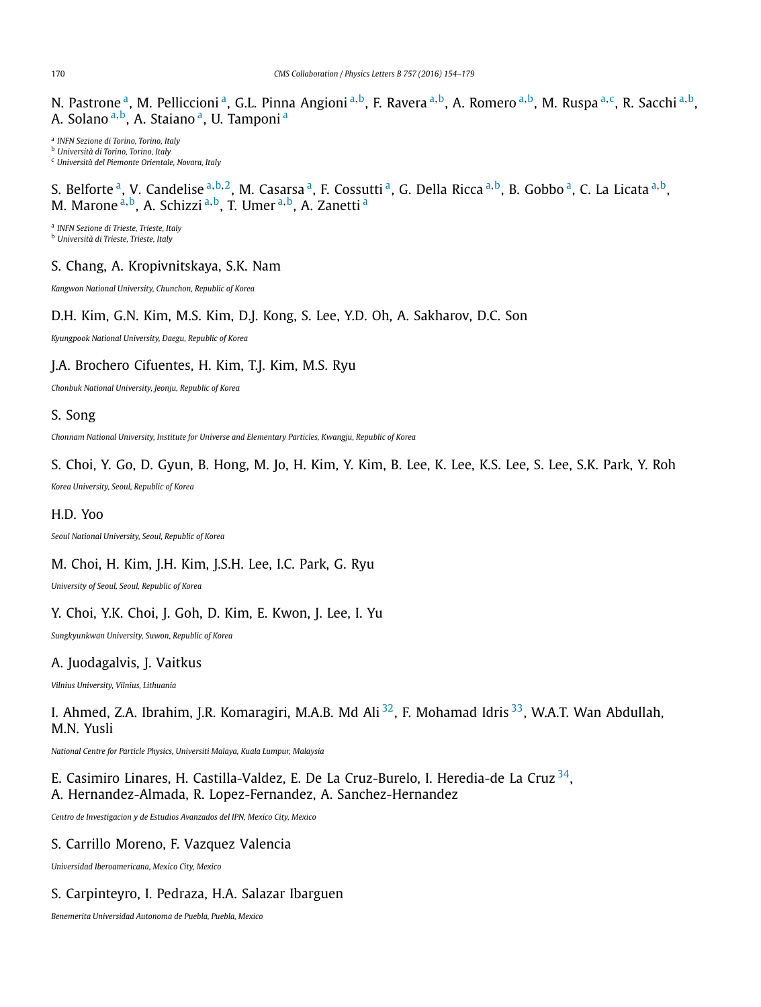<span id="page-16-0"></span>N. Pastrone a, M. Pelliccioni a, G.L. Pinna Angioni <sup>a</sup>*,*b, F. Ravera <sup>a</sup>*,*b, A. Romero <sup>a</sup>*,*b, M. Ruspa <sup>a</sup>*,*c, R. Sacchi <sup>a</sup>*,*b, A. Solano a, b, A. Staiano <sup>a</sup>, U. Tamponi<sup>a</sup>

<sup>a</sup> *INFN Sezione di Torino, Torino, Italy*

<sup>b</sup> *Università di Torino, Torino, Italy* <sup>c</sup> *Università del Piemonte Orientale, Novara, Italy*

S. Belforte a, V. Candelise <sup>a</sup>*,*b*,*[2,](#page-24-0) M. Casarsa a, F. Cossutti a, G. Della Ricca <sup>a</sup>*,*b, B. Gobbo a, C. La Licata <sup>a</sup>*,*b, M. Marone <sup>a</sup>*,*b, A. Schizzi <sup>a</sup>*,*b, T. Umer <sup>a</sup>*,*b, A. Zanetti <sup>a</sup>

<sup>a</sup> *INFN Sezione di Trieste, Trieste, Italy* <sup>b</sup> *Università di Trieste, Trieste, Italy*

#### S. Chang, A. Kropivnitskaya, S.K. Nam

*Kangwon National University, Chunchon, Republic of Korea*

#### D.H. Kim, G.N. Kim, M.S. Kim, D.J. Kong, S. Lee, Y.D. Oh, A. Sakharov, D.C. Son

*Kyungpook National University, Daegu, Republic of Korea*

#### J.A. Brochero Cifuentes, H. Kim, T.J. Kim, M.S. Ryu

*Chonbuk National University, Jeonju, Republic of Korea*

#### S. Song

*Chonnam National University, Institute for Universe and Elementary Particles, Kwangju, Republic of Korea*

S. Choi, Y. Go, D. Gyun, B. Hong, M. Jo, H. Kim, Y. Kim, B. Lee, K. Lee, K.S. Lee, S. Lee, S.K. Park, Y. Roh

*Korea University, Seoul, Republic of Korea*

#### H.D. Yoo

*Seoul National University, Seoul, Republic of Korea*

#### M. Choi, H. Kim, J.H. Kim, J.S.H. Lee, I.C. Park, G. Ryu

*University of Seoul, Seoul, Republic of Korea*

#### Y. Choi, Y.K. Choi, J. Goh, D. Kim, E. Kwon, J. Lee, I. Yu

*Sungkyunkwan University, Suwon, Republic of Korea*

#### A. Juodagalvis, J. Vaitkus

*Vilnius University, Vilnius, Lithuania*

I. Ahmed, Z.A. Ibrahim, J.R. Komaragiri, M.A.B. Md Ali  $^{32}$ , F. Mohamad Idris  $^{33}$ , W.A.T. Wan Abdullah, M.N. Yusli

*National Centre for Particle Physics, Universiti Malaya, Kuala Lumpur, Malaysia*

### E. Casimiro Linares, H. Castilla-Valdez, E. De La Cruz-Burelo, I. Heredia-de La Cruz [34](#page-24-0), A. Hernandez-Almada, R. Lopez-Fernandez, A. Sanchez-Hernandez

*Centro de Investigacion y de Estudios Avanzados del IPN, Mexico City, Mexico*

### S. Carrillo Moreno, F. Vazquez Valencia

*Universidad Iberoamericana, Mexico City, Mexico*

### S. Carpinteyro, I. Pedraza, H.A. Salazar Ibarguen

*Benemerita Universidad Autonoma de Puebla, Puebla, Mexico*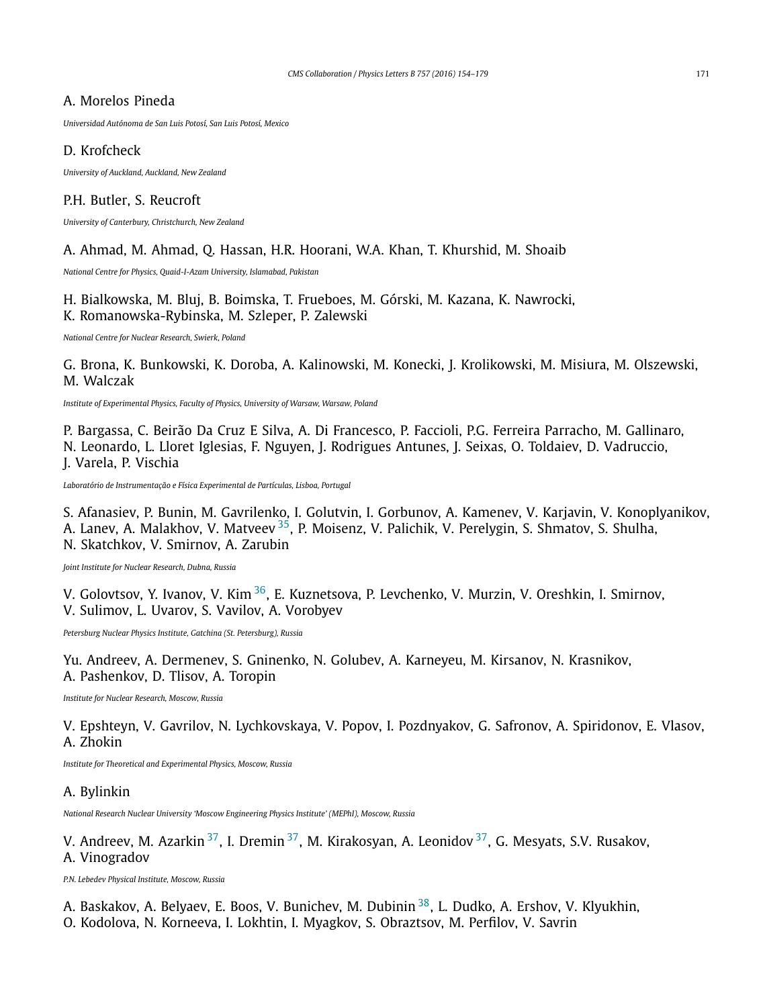## A. Morelos Pineda

*Universidad Autónoma de San Luis Potosí, San Luis Potosí, Mexico*

### D. Krofcheck

*University of Auckland, Auckland, New Zealand*

# P.H. Butler, S. Reucroft

*University of Canterbury, Christchurch, New Zealand*

### A. Ahmad, M. Ahmad, Q. Hassan, H.R. Hoorani, W.A. Khan, T. Khurshid, M. Shoaib

*National Centre for Physics, Quaid-I-Azam University, Islamabad, Pakistan*

H. Bialkowska, M. Bluj, B. Boimska, T. Frueboes, M. Górski, M. Kazana, K. Nawrocki, K. Romanowska-Rybinska, M. Szleper, P. Zalewski

*National Centre for Nuclear Research, Swierk, Poland*

G. Brona, K. Bunkowski, K. Doroba, A. Kalinowski, M. Konecki, J. Krolikowski, M. Misiura, M. Olszewski, M. Walczak

*Institute of Experimental Physics, Faculty of Physics, University of Warsaw, Warsaw, Poland*

P. Bargassa, C. Beirão Da Cruz E Silva, A. Di Francesco, P. Faccioli, P.G. Ferreira Parracho, M. Gallinaro, N. Leonardo, L. Lloret Iglesias, F. Nguyen, J. Rodrigues Antunes, J. Seixas, O. Toldaiev, D. Vadruccio, J. Varela, P. Vischia

*Laboratório de Instrumentação e Física Experimental de Partículas, Lisboa, Portugal*

S. Afanasiev, P. Bunin, M. Gavrilenko, I. Golutvin, I. Gorbunov, A. Kamenev, V. Karjavin, V. Konoplyanikov, A. Lanev, A. Malakhov, V. Matveev<sup>35</sup>, P. Moisenz, V. Palichik, V. Perelygin, S. Shmatov, S. Shulha, N. Skatchkov, V. Smirnov, A. Zarubin

*Joint Institute for Nuclear Research, Dubna, Russia*

V. Golovtsov, Y. Ivanov, V. Kim [36,](#page-24-0) E. Kuznetsova, P. Levchenko, V. Murzin, V. Oreshkin, I. Smirnov, V. Sulimov, L. Uvarov, S. Vavilov, A. Vorobyev

*Petersburg Nuclear Physics Institute, Gatchina (St. Petersburg), Russia*

Yu. Andreev, A. Dermenev, S. Gninenko, N. Golubev, A. Karneyeu, M. Kirsanov, N. Krasnikov, A. Pashenkov, D. Tlisov, A. Toropin

*Institute for Nuclear Research, Moscow, Russia*

V. Epshteyn, V. Gavrilov, N. Lychkovskaya, V. Popov, I. Pozdnyakov, G. Safronov, A. Spiridonov, E. Vlasov, A. Zhokin

*Institute for Theoretical and Experimental Physics, Moscow, Russia*

### A. Bylinkin

*National Research Nuclear University 'Moscow Engineering Physics Institute' (MEPhI), Moscow, Russia*

V. Andreev, M. Azarkin [37](#page-24-0), I. Dremin [37,](#page-24-0) M. Kirakosyan, A. Leonidov [37,](#page-24-0) G. Mesyats, S.V. Rusakov, A. Vinogradov

*P.N. Lebedev Physical Institute, Moscow, Russia*

A. Baskakov, A. Belyaev, E. Boos, V. Bunichev, M. Dubinin <sup>38</sup>, L. Dudko, A. Ershov, V. Klyukhin, O. Kodolova, N. Korneeva, I. Lokhtin, I. Myagkov, S. Obraztsov, M. Perfilov, V. Savrin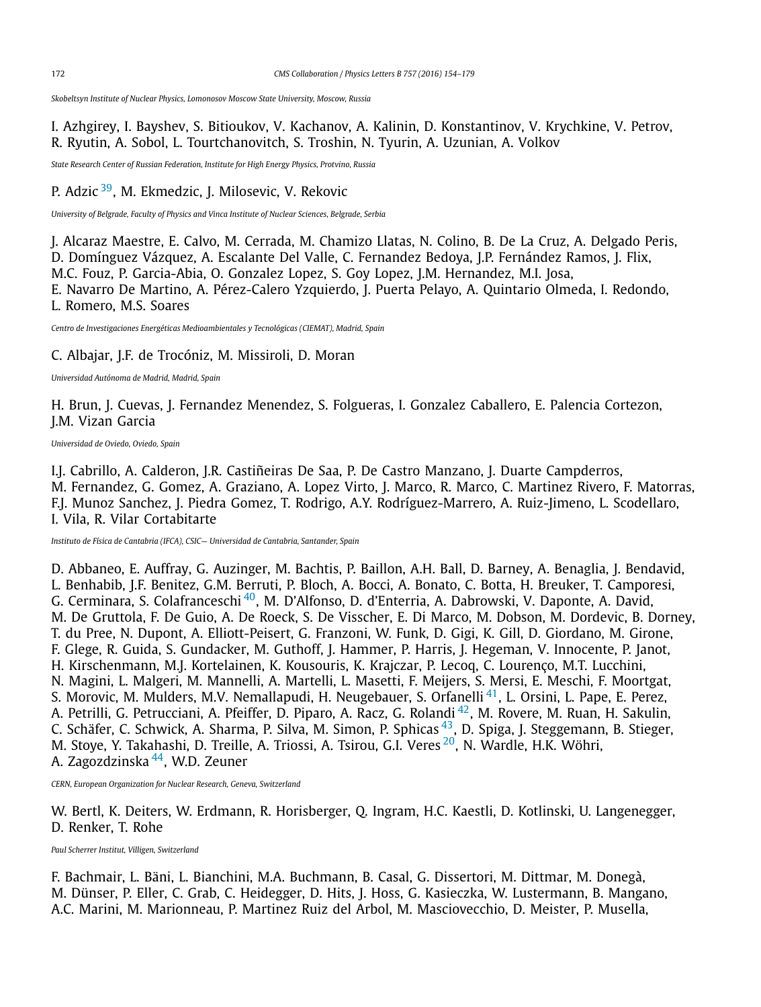*Skobeltsyn Institute of Nuclear Physics, Lomonosov Moscow State University, Moscow, Russia*

I. Azhgirey, I. Bayshev, S. Bitioukov, V. Kachanov, A. Kalinin, D. Konstantinov, V. Krychkine, V. Petrov, R. Ryutin, A. Sobol, L. Tourtchanovitch, S. Troshin, N. Tyurin, A. Uzunian, A. Volkov

*State Research Center of Russian Federation, Institute for High Energy Physics, Protvino, Russia*

### P. Adzic<sup>39</sup>, M. Ekmedzic, J. Milosevic, V. Rekovic

*University of Belgrade, Faculty of Physics and Vinca Institute of Nuclear Sciences, Belgrade, Serbia*

J. Alcaraz Maestre, E. Calvo, M. Cerrada, M. Chamizo Llatas, N. Colino, B. De La Cruz, A. Delgado Peris, D. Domínguez Vázquez, A. Escalante Del Valle, C. Fernandez Bedoya, J.P. Fernández Ramos, J. Flix, M.C. Fouz, P. Garcia-Abia, O. Gonzalez Lopez, S. Goy Lopez, J.M. Hernandez, M.I. Josa, E. Navarro De Martino, A. Pérez-Calero Yzquierdo, J. Puerta Pelayo, A. Quintario Olmeda, I. Redondo, L. Romero, M.S. Soares

*Centro de Investigaciones Energéticas Medioambientales y Tecnológicas (CIEMAT), Madrid, Spain*

### C. Albajar, J.F. de Trocóniz, M. Missiroli, D. Moran

*Universidad Autónoma de Madrid, Madrid, Spain*

H. Brun, J. Cuevas, J. Fernandez Menendez, S. Folgueras, I. Gonzalez Caballero, E. Palencia Cortezon, J.M. Vizan Garcia

*Universidad de Oviedo, Oviedo, Spain*

I.J. Cabrillo, A. Calderon, J.R. Castiñeiras De Saa, P. De Castro Manzano, J. Duarte Campderros, M. Fernandez, G. Gomez, A. Graziano, A. Lopez Virto, J. Marco, R. Marco, C. Martinez Rivero, F. Matorras, F.J. Munoz Sanchez, J. Piedra Gomez, T. Rodrigo, A.Y. Rodríguez-Marrero, A. Ruiz-Jimeno, L. Scodellaro, I. Vila, R. Vilar Cortabitarte

*Instituto de Física de Cantabria (IFCA), CSIC— Universidad de Cantabria, Santander, Spain*

D. Abbaneo, E. Auffray, G. Auzinger, M. Bachtis, P. Baillon, A.H. Ball, D. Barney, A. Benaglia, J. Bendavid, L. Benhabib, J.F. Benitez, G.M. Berruti, P. Bloch, A. Bocci, A. Bonato, C. Botta, H. Breuker, T. Camporesi, G. Cerminara, S. Colafranceschi [40,](#page-24-0) M. D'Alfonso, D. d'Enterria, A. Dabrowski, V. Daponte, A. David, M. De Gruttola, F. De Guio, A. De Roeck, S. De Visscher, E. Di Marco, M. Dobson, M. Dordevic, B. Dorney, T. du Pree, N. Dupont, A. Elliott-Peisert, G. Franzoni, W. Funk, D. Gigi, K. Gill, D. Giordano, M. Girone, F. Glege, R. Guida, S. Gundacker, M. Guthoff, J. Hammer, P. Harris, J. Hegeman, V. Innocente, P. Janot, H. Kirschenmann, M.J. Kortelainen, K. Kousouris, K. Krajczar, P. Lecoq, C. Lourenço, M.T. Lucchini, N. Magini, L. Malgeri, M. Mannelli, A. Martelli, L. Masetti, F. Meijers, S. Mersi, E. Meschi, F. Moortgat, S. Morovic, M. Mulders, M.V. Nemallapudi, H. Neugebauer, S. Orfanelli<sup>41</sup>, L. Orsini, L. Pape, E. Perez, A. Petrilli, G. Petrucciani, A. Pfeiffer, D. Piparo, A. Racz, G. Rolandi [42,](#page-24-0) M. Rovere, M. Ruan, H. Sakulin, C. Schäfer, C. Schwick, A. Sharma, P. Silva, M. Simon, P. Sphicas [43,](#page-24-0) D. Spiga, J. Steggemann, B. Stieger, M. Stoye, Y. Takahashi, D. Treille, A. Triossi, A. Tsirou, G.I. Veres [20,](#page-24-0) N. Wardle, H.K. Wöhri, A. Zagozdzinska [44,](#page-24-0) W.D. Zeuner

*CERN, European Organization for Nuclear Research, Geneva, Switzerland*

W. Bertl, K. Deiters, W. Erdmann, R. Horisberger, Q. Ingram, H.C. Kaestli, D. Kotlinski, U. Langenegger, D. Renker, T. Rohe

*Paul Scherrer Institut, Villigen, Switzerland*

F. Bachmair, L. Bäni, L. Bianchini, M.A. Buchmann, B. Casal, G. Dissertori, M. Dittmar, M. Donegà, M. Dünser, P. Eller, C. Grab, C. Heidegger, D. Hits, J. Hoss, G. Kasieczka, W. Lustermann, B. Mangano, A.C. Marini, M. Marionneau, P. Martinez Ruiz del Arbol, M. Masciovecchio, D. Meister, P. Musella,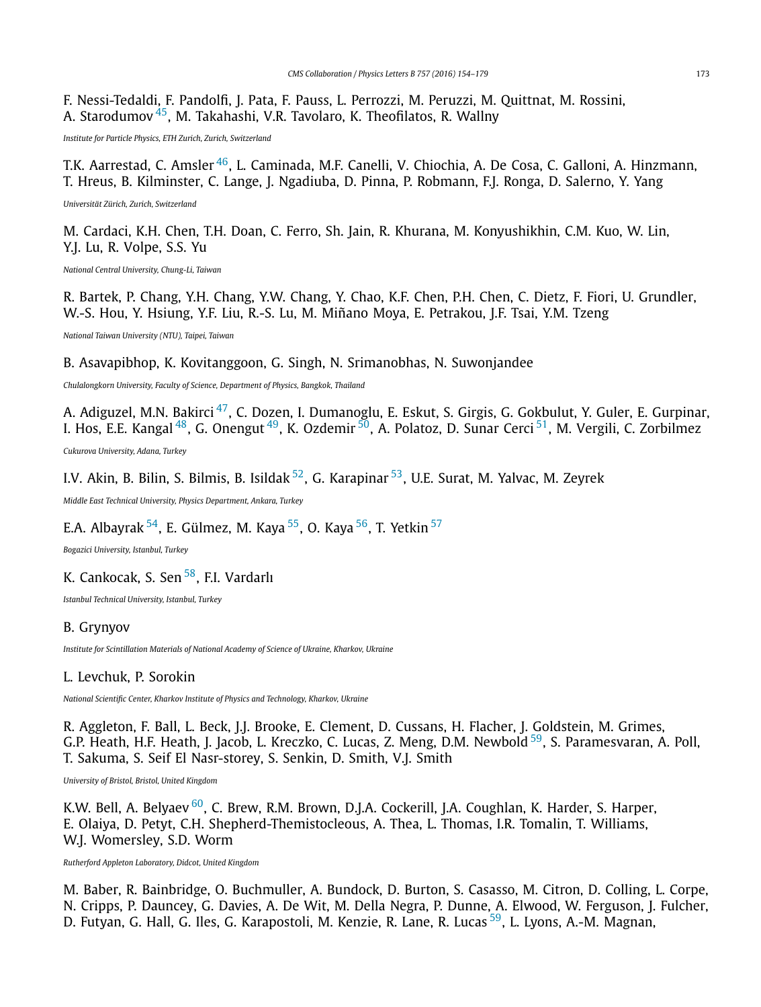F. Nessi-Tedaldi, F. Pandolfi, J. Pata, F. Pauss, L. Perrozzi, M. Peruzzi, M. Quittnat, M. Rossini, A. Starodumov [45,](#page-24-0) M. Takahashi, V.R. Tavolaro, K. Theofilatos, R. Wallny

*Institute for Particle Physics, ETH Zurich, Zurich, Switzerland*

T.K. Aarrestad, C. Amsler<sup>46</sup>, L. Caminada, M.F. Canelli, V. Chiochia, A. De Cosa, C. Galloni, A. Hinzmann, T. Hreus, B. Kilminster, C. Lange, J. Ngadiuba, D. Pinna, P. Robmann, F.J. Ronga, D. Salerno, Y. Yang

*Universität Zürich, Zurich, Switzerland*

M. Cardaci, K.H. Chen, T.H. Doan, C. Ferro, Sh. Jain, R. Khurana, M. Konyushikhin, C.M. Kuo, W. Lin, Y.J. Lu, R. Volpe, S.S. Yu

*National Central University, Chung-Li, Taiwan*

R. Bartek, P. Chang, Y.H. Chang, Y.W. Chang, Y. Chao, K.F. Chen, P.H. Chen, C. Dietz, F. Fiori, U. Grundler, W.-S. Hou, Y. Hsiung, Y.F. Liu, R.-S. Lu, M. Miñano Moya, E. Petrakou, J.F. Tsai, Y.M. Tzeng

*National Taiwan University (NTU), Taipei, Taiwan*

B. Asavapibhop, K. Kovitanggoon, G. Singh, N. Srimanobhas, N. Suwonjandee

*Chulalongkorn University, Faculty of Science, Department of Physics, Bangkok, Thailand*

A. Adiguzel, M.N. Bakirci<sup>47</sup>, C. Dozen, I. Dumanoglu, E. Eskut, S. Girgis, G. Gokbulut, Y. Guler, E. Gurpinar, I. Hos, E.E. Kangal [48,](#page-24-0) G. Onengut [49,](#page-24-0) K. Ozdemir [50,](#page-24-0) A. Polatoz, D. Sunar Cerci [51,](#page-24-0) M. Vergili, C. Zorbilmez

*Cukurova University, Adana, Turkey*

## I.V. Akin, B. Bilin, S. Bilmis, B. Isildak [52,](#page-24-0) G. Karapinar [53](#page-24-0), U.E. Surat, M. Yalvac, M. Zeyrek

*Middle East Technical University, Physics Department, Ankara, Turkey*

# E.A. Albayrak  $54$ , E. Gülmez, M. Kaya  $55$ , O. Kaya  $56$ , T. Yetkin  $57$

*Bogazici University, Istanbul, Turkey*

K. Cankocak, S. Sen<sup>58</sup>, F.I. Vardarlı

*Istanbul Technical University, Istanbul, Turkey*

### B. Grynyov

*Institute for Scintillation Materials of National Academy of Science of Ukraine, Kharkov, Ukraine*

#### L. Levchuk, P. Sorokin

*National Scientific Center, Kharkov Institute of Physics and Technology, Kharkov, Ukraine*

R. Aggleton, F. Ball, L. Beck, J.J. Brooke, E. Clement, D. Cussans, H. Flacher, J. Goldstein, M. Grimes, G.P. Heath, H.F. Heath, J. Jacob, L. Kreczko, C. Lucas, Z. Meng, D.M. Newbold <sup>59</sup>, S. Paramesvaran, A. Poll, T. Sakuma, S. Seif El Nasr-storey, S. Senkin, D. Smith, V.J. Smith

*University of Bristol, Bristol, United Kingdom*

K.W. Bell, A. Belyaev <sup>60</sup>, C. Brew, R.M. Brown, D.J.A. Cockerill, J.A. Coughlan, K. Harder, S. Harper, E. Olaiya, D. Petyt, C.H. Shepherd-Themistocleous, A. Thea, L. Thomas, I.R. Tomalin, T. Williams, W.J. Womersley, S.D. Worm

*Rutherford Appleton Laboratory, Didcot, United Kingdom*

M. Baber, R. Bainbridge, O. Buchmuller, A. Bundock, D. Burton, S. Casasso, M. Citron, D. Colling, L. Corpe, N. Cripps, P. Dauncey, G. Davies, A. De Wit, M. Della Negra, P. Dunne, A. Elwood, W. Ferguson, J. Fulcher, D. Futyan, G. Hall, G. Iles, G. Karapostoli, M. Kenzie, R. Lane, R. Lucas [59,](#page-24-0) L. Lyons, A.-M. Magnan,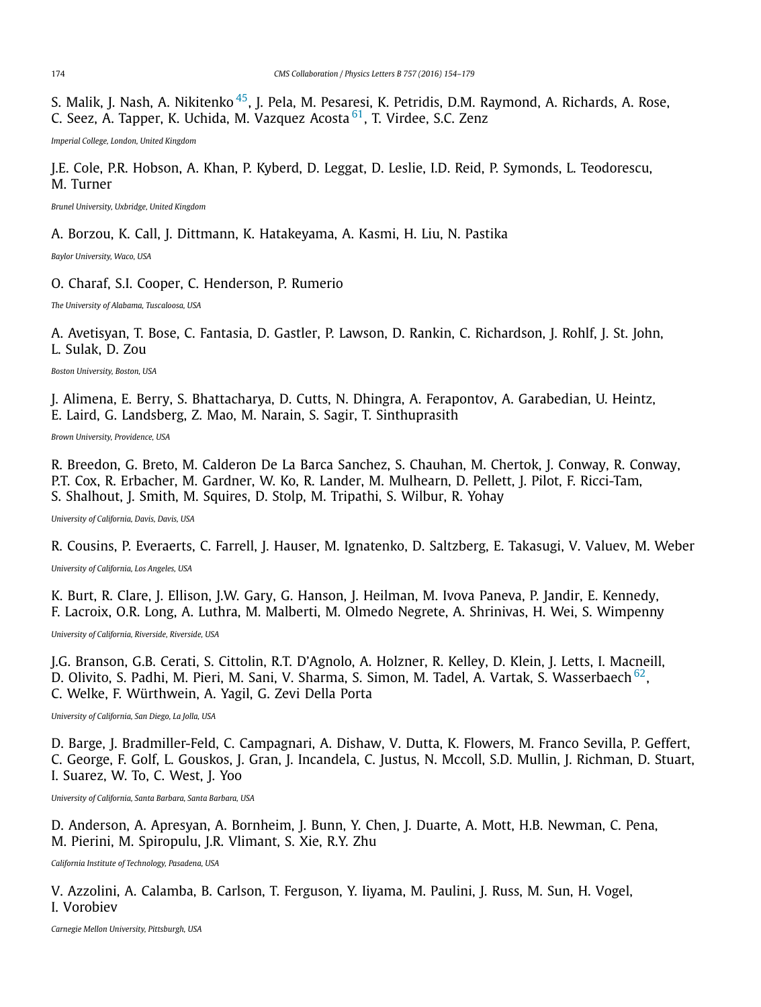S. Malik, J. Nash, A. Nikitenko <sup>45</sup>, J. Pela, M. Pesaresi, K. Petridis, D.M. Raymond, A. Richards, A. Rose, C. Seez, A. Tapper, K. Uchida, M. Vazquez Acosta [61,](#page-25-0) T. Virdee, S.C. Zenz

*Imperial College, London, United Kingdom*

J.E. Cole, P.R. Hobson, A. Khan, P. Kyberd, D. Leggat, D. Leslie, I.D. Reid, P. Symonds, L. Teodorescu, M. Turner

*Brunel University, Uxbridge, United Kingdom*

A. Borzou, K. Call, J. Dittmann, K. Hatakeyama, A. Kasmi, H. Liu, N. Pastika

*Baylor University, Waco, USA*

O. Charaf, S.I. Cooper, C. Henderson, P. Rumerio

*The University of Alabama, Tuscaloosa, USA*

A. Avetisyan, T. Bose, C. Fantasia, D. Gastler, P. Lawson, D. Rankin, C. Richardson, J. Rohlf, J. St. John, L. Sulak, D. Zou

*Boston University, Boston, USA*

J. Alimena, E. Berry, S. Bhattacharya, D. Cutts, N. Dhingra, A. Ferapontov, A. Garabedian, U. Heintz, E. Laird, G. Landsberg, Z. Mao, M. Narain, S. Sagir, T. Sinthuprasith

*Brown University, Providence, USA*

R. Breedon, G. Breto, M. Calderon De La Barca Sanchez, S. Chauhan, M. Chertok, J. Conway, R. Conway, P.T. Cox, R. Erbacher, M. Gardner, W. Ko, R. Lander, M. Mulhearn, D. Pellett, J. Pilot, F. Ricci-Tam, S. Shalhout, J. Smith, M. Squires, D. Stolp, M. Tripathi, S. Wilbur, R. Yohay

*University of California, Davis, Davis, USA*

R. Cousins, P. Everaerts, C. Farrell, J. Hauser, M. Ignatenko, D. Saltzberg, E. Takasugi, V. Valuev, M. Weber

*University of California, Los Angeles, USA*

K. Burt, R. Clare, J. Ellison, J.W. Gary, G. Hanson, J. Heilman, M. Ivova Paneva, P. Jandir, E. Kennedy, F. Lacroix, O.R. Long, A. Luthra, M. Malberti, M. Olmedo Negrete, A. Shrinivas, H. Wei, S. Wimpenny

*University of California, Riverside, Riverside, USA*

J.G. Branson, G.B. Cerati, S. Cittolin, R.T. D'Agnolo, A. Holzner, R. Kelley, D. Klein, J. Letts, I. Macneill, D. Olivito, S. Padhi, M. Pieri, M. Sani, V. Sharma, S. Simon, M. Tadel, A. Vartak, S. Wasserbaech [62,](#page-25-0) C. Welke, F. Würthwein, A. Yagil, G. Zevi Della Porta

*University of California, San Diego, La Jolla, USA*

D. Barge, J. Bradmiller-Feld, C. Campagnari, A. Dishaw, V. Dutta, K. Flowers, M. Franco Sevilla, P. Geffert, C. George, F. Golf, L. Gouskos, J. Gran, J. Incandela, C. Justus, N. Mccoll, S.D. Mullin, J. Richman, D. Stuart, I. Suarez, W. To, C. West, J. Yoo

*University of California, Santa Barbara, Santa Barbara, USA*

D. Anderson, A. Apresyan, A. Bornheim, J. Bunn, Y. Chen, J. Duarte, A. Mott, H.B. Newman, C. Pena, M. Pierini, M. Spiropulu, J.R. Vlimant, S. Xie, R.Y. Zhu

*California Institute of Technology, Pasadena, USA*

V. Azzolini, A. Calamba, B. Carlson, T. Ferguson, Y. Iiyama, M. Paulini, J. Russ, M. Sun, H. Vogel, I. Vorobiev

*Carnegie Mellon University, Pittsburgh, USA*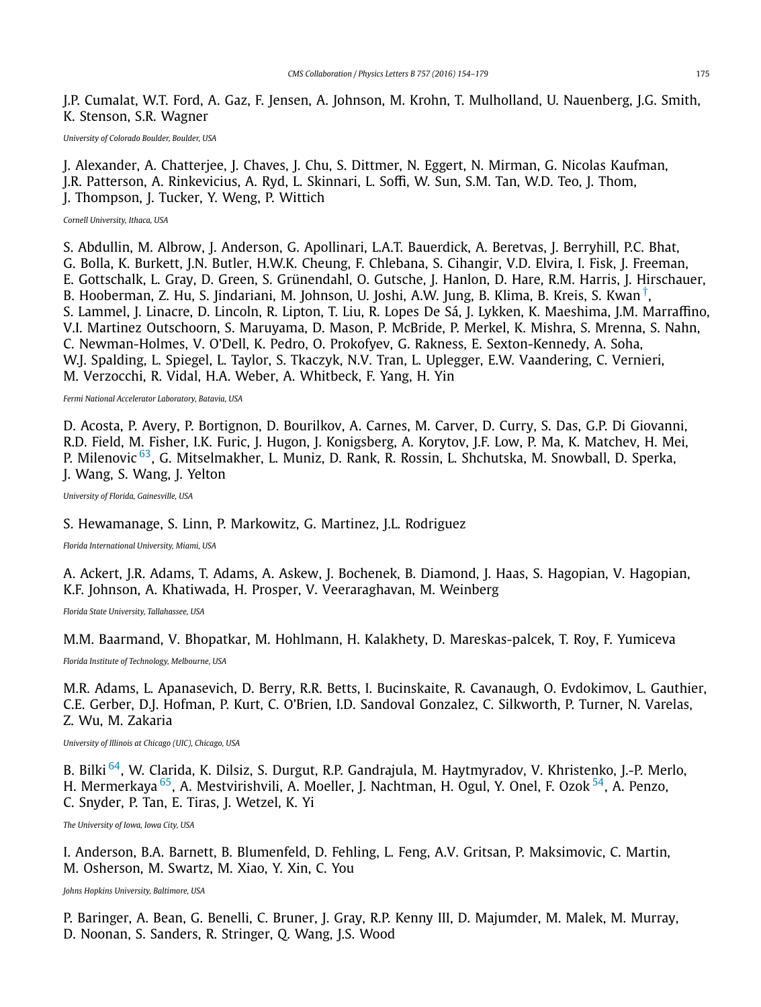J.P. Cumalat, W.T. Ford, A. Gaz, F. Jensen, A. Johnson, M. Krohn, T. Mulholland, U. Nauenberg, J.G. Smith, K. Stenson, S.R. Wagner

*University of Colorado Boulder, Boulder, USA*

J. Alexander, A. Chatterjee, J. Chaves, J. Chu, S. Dittmer, N. Eggert, N. Mirman, G. Nicolas Kaufman, J.R. Patterson, A. Rinkevicius, A. Ryd, L. Skinnari, L. Soffi, W. Sun, S.M. Tan, W.D. Teo, J. Thom, J. Thompson, J. Tucker, Y. Weng, P. Wittich

*Cornell University, Ithaca, USA*

S. Abdullin, M. Albrow, J. Anderson, G. Apollinari, L.A.T. Bauerdick, A. Beretvas, J. Berryhill, P.C. Bhat, G. Bolla, K. Burkett, J.N. Butler, H.W.K. Cheung, F. Chlebana, S. Cihangir, V.D. Elvira, I. Fisk, J. Freeman, E. Gottschalk, L. Gray, D. Green, S. Grünendahl, O. Gutsche, J. Hanlon, D. Hare, R.M. Harris, J. Hirschauer, B. Hooberman, Z. Hu, S. Jindariani, M. Johnson, U. Joshi, A.W. Jung, B. Klima, B. Kreis, S. Kwan<sup>†</sup>, S. Lammel, J. Linacre, D. Lincoln, R. Lipton, T. Liu, R. Lopes De Sá, J. Lykken, K. Maeshima, J.M. Marraffino, V.I. Martinez Outschoorn, S. Maruyama, D. Mason, P. McBride, P. Merkel, K. Mishra, S. Mrenna, S. Nahn, C. Newman-Holmes, V. O'Dell, K. Pedro, O. Prokofyev, G. Rakness, E. Sexton-Kennedy, A. Soha, W.J. Spalding, L. Spiegel, L. Taylor, S. Tkaczyk, N.V. Tran, L. Uplegger, E.W. Vaandering, C. Vernieri, M. Verzocchi, R. Vidal, H.A. Weber, A. Whitbeck, F. Yang, H. Yin

*Fermi National Accelerator Laboratory, Batavia, USA*

D. Acosta, P. Avery, P. Bortignon, D. Bourilkov, A. Carnes, M. Carver, D. Curry, S. Das, G.P. Di Giovanni, R.D. Field, M. Fisher, I.K. Furic, J. Hugon, J. Konigsberg, A. Korytov, J.F. Low, P. Ma, K. Matchev, H. Mei, P. Milenovic <sup>63</sup>, G. Mitselmakher, L. Muniz, D. Rank, R. Rossin, L. Shchutska, M. Snowball, D. Sperka, J. Wang, S. Wang, J. Yelton

*University of Florida, Gainesville, USA*

S. Hewamanage, S. Linn, P. Markowitz, G. Martinez, J.L. Rodriguez

*Florida International University, Miami, USA*

A. Ackert, J.R. Adams, T. Adams, A. Askew, J. Bochenek, B. Diamond, J. Haas, S. Hagopian, V. Hagopian, K.F. Johnson, A. Khatiwada, H. Prosper, V. Veeraraghavan, M. Weinberg

*Florida State University, Tallahassee, USA*

M.M. Baarmand, V. Bhopatkar, M. Hohlmann, H. Kalakhety, D. Mareskas-palcek, T. Roy, F. Yumiceva

*Florida Institute of Technology, Melbourne, USA*

M.R. Adams, L. Apanasevich, D. Berry, R.R. Betts, I. Bucinskaite, R. Cavanaugh, O. Evdokimov, L. Gauthier, C.E. Gerber, D.J. Hofman, P. Kurt, C. O'Brien, I.D. Sandoval Gonzalez, C. Silkworth, P. Turner, N. Varelas, Z. Wu, M. Zakaria

*University of Illinois at Chicago (UIC), Chicago, USA*

B. Bilki <sup>64</sup>, W. Clarida, K. Dilsiz, S. Durgut, R.P. Gandrajula, M. Haytmyradov, V. Khristenko, J.-P. Merlo, H. Mermerkaya [65,](#page-25-0) A. Mestvirishvili, A. Moeller, J. Nachtman, H. Ogul, Y. Onel, F. Ozok [54,](#page-24-0) A. Penzo, C. Snyder, P. Tan, E. Tiras, J. Wetzel, K. Yi

*The University of Iowa, Iowa City, USA*

I. Anderson, B.A. Barnett, B. Blumenfeld, D. Fehling, L. Feng, A.V. Gritsan, P. Maksimovic, C. Martin, M. Osherson, M. Swartz, M. Xiao, Y. Xin, C. You

*Johns Hopkins University, Baltimore, USA*

P. Baringer, A. Bean, G. Benelli, C. Bruner, J. Gray, R.P. Kenny III, D. Majumder, M. Malek, M. Murray, D. Noonan, S. Sanders, R. Stringer, Q. Wang, J.S. Wood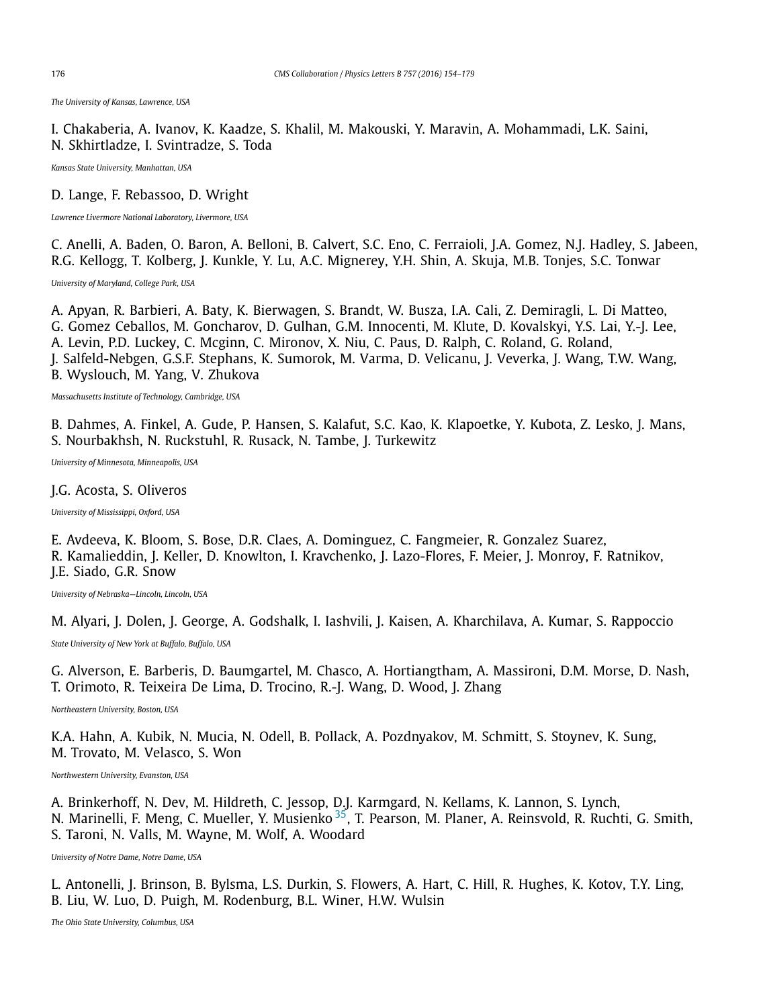*The University of Kansas, Lawrence, USA*

I. Chakaberia, A. Ivanov, K. Kaadze, S. Khalil, M. Makouski, Y. Maravin, A. Mohammadi, L.K. Saini, N. Skhirtladze, I. Svintradze, S. Toda

*Kansas State University, Manhattan, USA*

#### D. Lange, F. Rebassoo, D. Wright

*Lawrence Livermore National Laboratory, Livermore, USA*

C. Anelli, A. Baden, O. Baron, A. Belloni, B. Calvert, S.C. Eno, C. Ferraioli, J.A. Gomez, N.J. Hadley, S. Jabeen, R.G. Kellogg, T. Kolberg, J. Kunkle, Y. Lu, A.C. Mignerey, Y.H. Shin, A. Skuja, M.B. Tonjes, S.C. Tonwar

*University of Maryland, College Park, USA*

A. Apyan, R. Barbieri, A. Baty, K. Bierwagen, S. Brandt, W. Busza, I.A. Cali, Z. Demiragli, L. Di Matteo, G. Gomez Ceballos, M. Goncharov, D. Gulhan, G.M. Innocenti, M. Klute, D. Kovalskyi, Y.S. Lai, Y.-J. Lee, A. Levin, P.D. Luckey, C. Mcginn, C. Mironov, X. Niu, C. Paus, D. Ralph, C. Roland, G. Roland, J. Salfeld-Nebgen, G.S.F. Stephans, K. Sumorok, M. Varma, D. Velicanu, J. Veverka, J. Wang, T.W. Wang, B. Wyslouch, M. Yang, V. Zhukova

*Massachusetts Institute of Technology, Cambridge, USA*

B. Dahmes, A. Finkel, A. Gude, P. Hansen, S. Kalafut, S.C. Kao, K. Klapoetke, Y. Kubota, Z. Lesko, J. Mans, S. Nourbakhsh, N. Ruckstuhl, R. Rusack, N. Tambe, J. Turkewitz

*University of Minnesota, Minneapolis, USA*

J.G. Acosta, S. Oliveros

*University of Mississippi, Oxford, USA*

E. Avdeeva, K. Bloom, S. Bose, D.R. Claes, A. Dominguez, C. Fangmeier, R. Gonzalez Suarez, R. Kamalieddin, J. Keller, D. Knowlton, I. Kravchenko, J. Lazo-Flores, F. Meier, J. Monroy, F. Ratnikov, J.E. Siado, G.R. Snow

*University of Nebraska—Lincoln, Lincoln, USA*

M. Alyari, J. Dolen, J. George, A. Godshalk, I. Iashvili, J. Kaisen, A. Kharchilava, A. Kumar, S. Rappoccio

*State University of New York at Buffalo, Buffalo, USA*

G. Alverson, E. Barberis, D. Baumgartel, M. Chasco, A. Hortiangtham, A. Massironi, D.M. Morse, D. Nash, T. Orimoto, R. Teixeira De Lima, D. Trocino, R.-J. Wang, D. Wood, J. Zhang

*Northeastern University, Boston, USA*

K.A. Hahn, A. Kubik, N. Mucia, N. Odell, B. Pollack, A. Pozdnyakov, M. Schmitt, S. Stoynev, K. Sung, M. Trovato, M. Velasco, S. Won

*Northwestern University, Evanston, USA*

A. Brinkerhoff, N. Dev, M. Hildreth, C. Jessop, D.J. Karmgard, N. Kellams, K. Lannon, S. Lynch, N. Marinelli, F. Meng, C. Mueller, Y. Musienko <sup>35</sup>, T. Pearson, M. Planer, A. Reinsvold, R. Ruchti, G. Smith, S. Taroni, N. Valls, M. Wayne, M. Wolf, A. Woodard

*University of Notre Dame, Notre Dame, USA*

L. Antonelli, J. Brinson, B. Bylsma, L.S. Durkin, S. Flowers, A. Hart, C. Hill, R. Hughes, K. Kotov, T.Y. Ling, B. Liu, W. Luo, D. Puigh, M. Rodenburg, B.L. Winer, H.W. Wulsin

*The Ohio State University, Columbus, USA*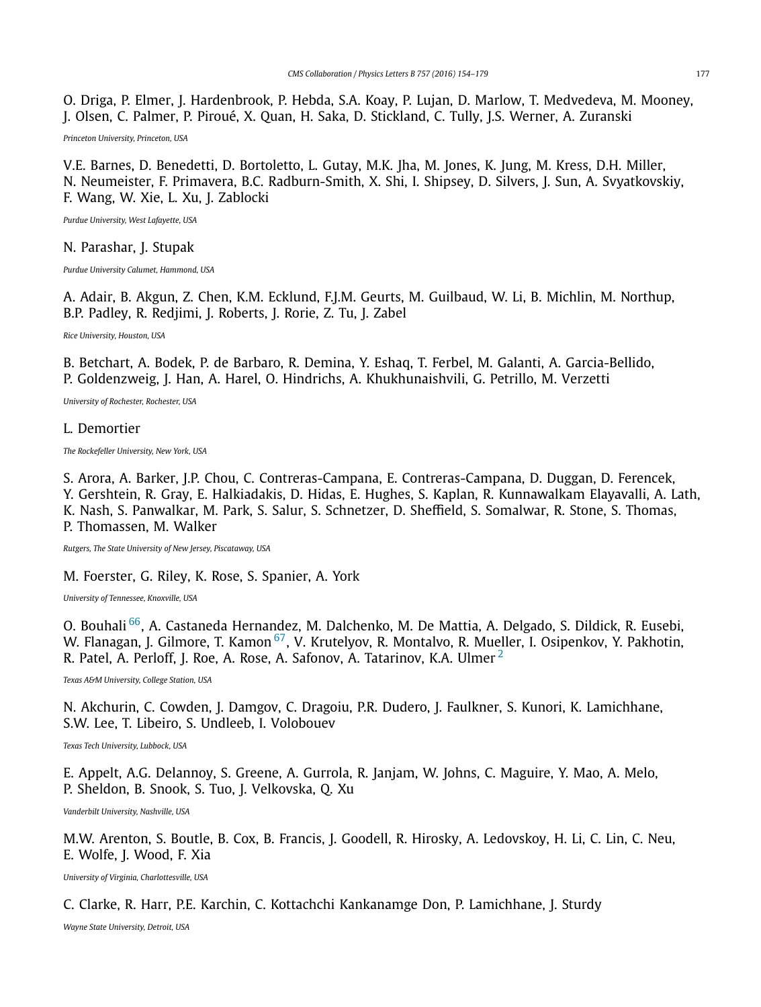O. Driga, P. Elmer, J. Hardenbrook, P. Hebda, S.A. Koay, P. Lujan, D. Marlow, T. Medvedeva, M. Mooney, J. Olsen, C. Palmer, P. Piroué, X. Quan, H. Saka, D. Stickland, C. Tully, J.S. Werner, A. Zuranski

*Princeton University, Princeton, USA*

V.E. Barnes, D. Benedetti, D. Bortoletto, L. Gutay, M.K. Jha, M. Jones, K. Jung, M. Kress, D.H. Miller, N. Neumeister, F. Primavera, B.C. Radburn-Smith, X. Shi, I. Shipsey, D. Silvers, J. Sun, A. Svyatkovskiy, F. Wang, W. Xie, L. Xu, J. Zablocki

*Purdue University, West Lafayette, USA*

N. Parashar, J. Stupak

*Purdue University Calumet, Hammond, USA*

A. Adair, B. Akgun, Z. Chen, K.M. Ecklund, F.J.M. Geurts, M. Guilbaud, W. Li, B. Michlin, M. Northup, B.P. Padley, R. Redjimi, J. Roberts, J. Rorie, Z. Tu, J. Zabel

*Rice University, Houston, USA*

B. Betchart, A. Bodek, P. de Barbaro, R. Demina, Y. Eshaq, T. Ferbel, M. Galanti, A. Garcia-Bellido, P. Goldenzweig, J. Han, A. Harel, O. Hindrichs, A. Khukhunaishvili, G. Petrillo, M. Verzetti

*University of Rochester, Rochester, USA*

### L. Demortier

*The Rockefeller University, New York, USA*

S. Arora, A. Barker, J.P. Chou, C. Contreras-Campana, E. Contreras-Campana, D. Duggan, D. Ferencek, Y. Gershtein, R. Gray, E. Halkiadakis, D. Hidas, E. Hughes, S. Kaplan, R. Kunnawalkam Elayavalli, A. Lath, K. Nash, S. Panwalkar, M. Park, S. Salur, S. Schnetzer, D. Sheffield, S. Somalwar, R. Stone, S. Thomas, P. Thomassen, M. Walker

*Rutgers, The State University of New Jersey, Piscataway, USA*

M. Foerster, G. Riley, K. Rose, S. Spanier, A. York

*University of Tennessee, Knoxville, USA*

O. Bouhali <sup>[66](#page-25-0)</sup>, A. Castaneda Hernandez, M. Dalchenko, M. De Mattia, A. Delgado, S. Dildick, R. Eusebi, W. Flanagan, J. Gilmore, T. Kamon <sup>67</sup>, V. Krutelyov, R. Montalvo, R. Mueller, I. Osipenkov, Y. Pakhotin, R. Patel, A. Perloff, J. Roe, A. Rose, A. Safonov, A. Tatarinov, K.A. Ulmer [2](#page-24-0)

*Texas A&M University, College Station, USA*

N. Akchurin, C. Cowden, J. Damgov, C. Dragoiu, P.R. Dudero, J. Faulkner, S. Kunori, K. Lamichhane, S.W. Lee, T. Libeiro, S. Undleeb, I. Volobouev

*Texas Tech University, Lubbock, USA*

E. Appelt, A.G. Delannoy, S. Greene, A. Gurrola, R. Janjam, W. Johns, C. Maguire, Y. Mao, A. Melo, P. Sheldon, B. Snook, S. Tuo, J. Velkovska, Q. Xu

*Vanderbilt University, Nashville, USA*

M.W. Arenton, S. Boutle, B. Cox, B. Francis, J. Goodell, R. Hirosky, A. Ledovskoy, H. Li, C. Lin, C. Neu, E. Wolfe, J. Wood, F. Xia

*University of Virginia, Charlottesville, USA*

C. Clarke, R. Harr, P.E. Karchin, C. Kottachchi Kankanamge Don, P. Lamichhane, J. Sturdy

*Wayne State University, Detroit, USA*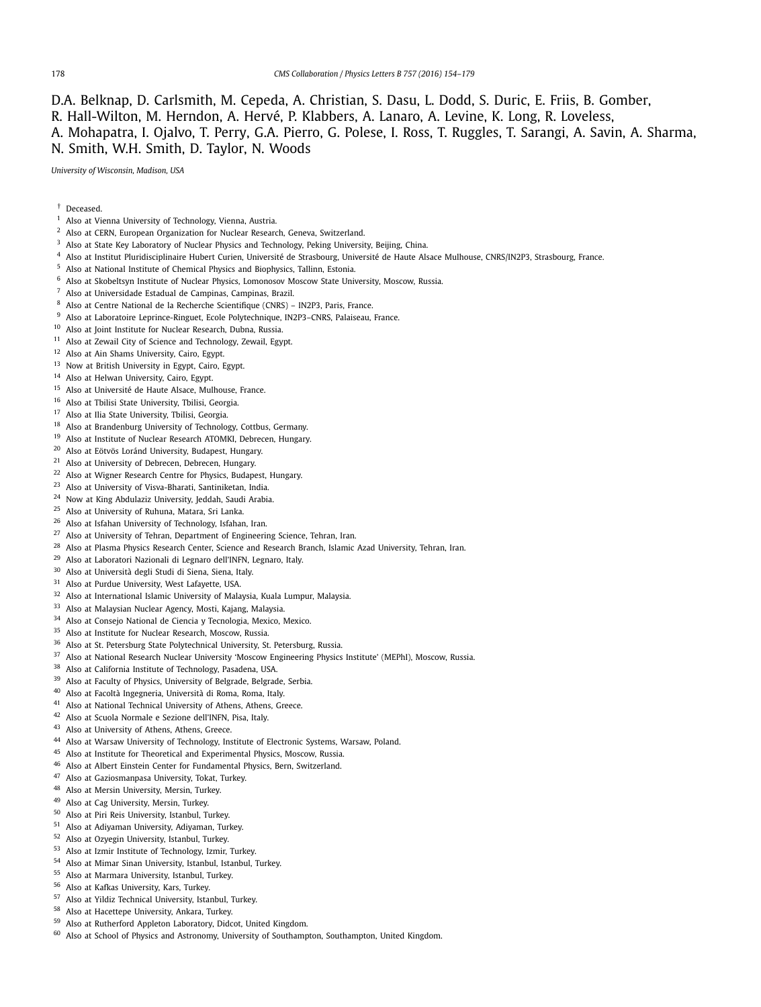<span id="page-24-0"></span>D.A. Belknap, D. Carlsmith, M. Cepeda, A. Christian, S. Dasu, L. Dodd, S. Duric, E. Friis, B. Gomber, R. Hall-Wilton, M. Herndon, A. Hervé, P. Klabbers, A. Lanaro, A. Levine, K. Long, R. Loveless, A. Mohapatra, I. Ojalvo, T. Perry, G.A. Pierro, G. Polese, I. Ross, T. Ruggles, T. Sarangi, A. Savin, A. Sharma, N. Smith, W.H. Smith, D. Taylor, N. Woods

*University of Wisconsin, Madison, USA*

- † Deceased.
- Also at Vienna University of Technology, Vienna, Austria.
- Also at CERN, European Organization for Nuclear Research, Geneva, Switzerland.
- <sup>3</sup> Also at State Key Laboratory of Nuclear Physics and Technology, Peking University, Beijing, China.
- Also at Institut Pluridisciplinaire Hubert Curien, Université de Strasbourg, Université de Haute Alsace Mulhouse, CNRS/IN2P3, Strasbourg, France.
- Also at National Institute of Chemical Physics and Biophysics, Tallinn, Estonia.
- Also at Skobeltsyn Institute of Nuclear Physics, Lomonosov Moscow State University, Moscow, Russia.
- Also at Universidade Estadual de Campinas, Campinas, Brazil.
- Also at Centre National de la Recherche Scientifique (CNRS) IN2P3, Paris, France.
- Also at Laboratoire Leprince-Ringuet, Ecole Polytechnique, IN2P3–CNRS, Palaiseau, France.
- <sup>10</sup> Also at Joint Institute for Nuclear Research, Dubna, Russia.
- Also at Zewail City of Science and Technology, Zewail, Egypt.
- Also at Ain Shams University, Cairo, Egypt.
- Now at British University in Egypt, Cairo, Egypt.
- <sup>14</sup> Also at Helwan University, Cairo, Egypt.
- Also at Université de Haute Alsace, Mulhouse, France.
- Also at Tbilisi State University, Tbilisi, Georgia.
- Also at Ilia State University, Tbilisi, Georgia.
- Also at Brandenburg University of Technology, Cottbus, Germany.
- <sup>19</sup> Also at Institute of Nuclear Research ATOMKI, Debrecen, Hungary.
- Also at Eötvös Loránd University, Budapest, Hungary.
- Also at University of Debrecen, Debrecen, Hungary.
- Also at Wigner Research Centre for Physics, Budapest, Hungary.
- Also at University of Visva-Bharati, Santiniketan, India.
- Now at King Abdulaziz University, Jeddah, Saudi Arabia.
- Also at University of Ruhuna, Matara, Sri Lanka.
- Also at Isfahan University of Technology, Isfahan, Iran.
- Also at University of Tehran, Department of Engineering Science, Tehran, Iran.
- Also at Plasma Physics Research Center, Science and Research Branch, Islamic Azad University, Tehran, Iran.
- Also at Laboratori Nazionali di Legnaro dell'INFN, Legnaro, Italy.
- Also at Università degli Studi di Siena, Siena, Italy.
- Also at Purdue University, West Lafayette, USA.
- <sup>32</sup> Also at International Islamic University of Malaysia, Kuala Lumpur, Malaysia.
- Also at Malaysian Nuclear Agency, Mosti, Kajang, Malaysia.
- Also at Consejo National de Ciencia y Tecnologia, Mexico, Mexico.
- Also at Institute for Nuclear Research, Moscow, Russia.
- <sup>36</sup> Also at St. Petersburg State Polytechnical University, St. Petersburg, Russia.
- Also at National Research Nuclear University 'Moscow Engineering Physics Institute' (MEPhI), Moscow, Russia.
- Also at California Institute of Technology, Pasadena, USA.
- Also at Faculty of Physics, University of Belgrade, Belgrade, Serbia.
- Also at Facoltà Ingegneria, Università di Roma, Roma, Italy.
- Also at National Technical University of Athens, Athens, Greece.
- Also at Scuola Normale e Sezione dell'INFN, Pisa, Italy.
- Also at University of Athens, Athens, Greece.
- Also at Warsaw University of Technology, Institute of Electronic Systems, Warsaw, Poland.
- Also at Institute for Theoretical and Experimental Physics, Moscow, Russia.
- Also at Albert Einstein Center for Fundamental Physics, Bern, Switzerland.
- Also at Gaziosmanpasa University, Tokat, Turkey.
- Also at Mersin University, Mersin, Turkey.
- 49 Also at Cag University, Mersin, Turkey.
- Also at Piri Reis University, Istanbul, Turkey.
- Also at Adiyaman University, Adiyaman, Turkey.
- Also at Ozyegin University, Istanbul, Turkey.
- Also at Izmir Institute of Technology, Izmir, Turkey.
- Also at Mimar Sinan University, Istanbul, Istanbul, Turkey.
- Also at Marmara University, Istanbul, Turkey.
- Also at Kafkas University, Kars, Turkey.
- Also at Yildiz Technical University, Istanbul, Turkey.
- Also at Hacettepe University, Ankara, Turkey.
- Also at Rutherford Appleton Laboratory, Didcot, United Kingdom.
- Also at School of Physics and Astronomy, University of Southampton, Southampton, United Kingdom.